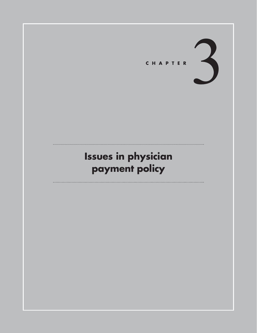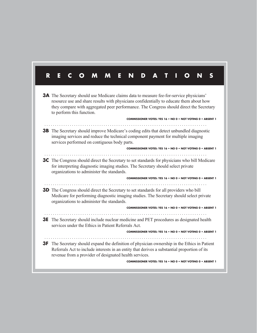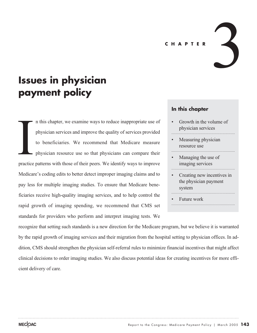#### **CHAPTER**

# **Issues in physician payment policy**

n this chapter, we examine ways to reduce inappropriate use of physician services and improve the quality of services provided to beneficiaries. We recommend that Medicare measure physician resource use so that physicians can compare their practice patterns with those of their peers. We identify ways to improve Medicare's coding edits to better detect improper imaging claims and to pay less for multiple imaging studies. To ensure that Medicare beneficiaries receive high-quality imaging services, and to help control the rapid growth of imaging spending, we recommend that CMS set standards for providers who perform and interpret imaging tests. We **International Practice** 

# **In this chapter**

Growth in the volume of physician services

3

- Measuring physician resource use
- Managing the use of imaging services
- Creating new incentives in the physician payment system
- Future work

recognize that setting such standards is a new direction for the Medicare program, but we believe it is warranted by the rapid growth of imaging services and their migration from the hospital setting to physician offices. In addition, CMS should strengthen the physician self-referral rules to minimize financial incentives that might affect clinical decisions to order imaging studies. We also discuss potential ideas for creating incentives for more efficient delivery of care.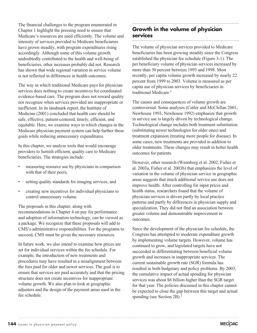The financial challenges to the program enumerated in Chapter 1 highlight the pressing need to ensure that Medicare's resources are used efficiently. The volume and intensity of services provided to Medicare beneficiaries have grown steadily, with program expenditures rising accordingly. Although some of this volume growth undoubtedly contributed to the health and well-being of beneficiaries, other increases probably did not. Research has shown that wide regional variation in service volume is not reflected in differences in health outcomes.

The way in which traditional Medicare pays for physician services does nothing to create incentives for coordinated evidence-based care. The program does not reward quality nor recognize when services provided are inappropriate or inefficient. In its landmark report, the Institute of Medicine (2001) concluded that health care should be safe, effective, patient-centered, timely, efficient, and equitable. Here, we examine ways in which changes in the Medicare physician payment system can help further these goals while reducing unnecessary expenditures.

In this chapter, we analyze tools that would encourage providers to furnish efficient, quality care to Medicare beneficiaries. The strategies include:

- measuring resource use by physicians in comparison with that of their peers,
- setting quality standards for imaging services, and
- creating new incentives for individual physicians to control unnecessary volume.

The proposals in this chapter, along with recommendations in Chapter 4 on pay for performance and adoption of information technology, can be viewed as a package. We recognize that these proposals will add to CMS's administrative responsibilities. For the programs to succeed, CMS must be given the necessary resources.

In future work, we also intend to examine how prices are set for individual services within the fee schedule. For example, the introduction of new treatments and procedures may have resulted in a misalignment between the fees paid for older and newer services. The goal is to ensure that services are paid accurately and that the pricing structure does not create incentives for inappropriate volume growth. We also plan to look at geographic adjusters and the design of the payment areas used in the fee schedule.

# **Growth in the volume of physician services**

The volume of physician services provided to Medicare beneficiaries has been growing steadily since the Congress established the physician fee schedule (Figure 3-1). The per beneficiary volume of physician services increased by more than 30 percent between 1993 and 1998. Most recently, per capita volume growth increased by nearly 22 percent from 1999 to 2003. Volume is measured as per capita use of physician services by beneficiaries in traditional Medicare.<sup>1</sup>

The causes and consequences of volume growth are controversial. Some analyses (Cutler and McClellan 2001, Newhouse 1993, Newhouse 1992) emphasize that growth in service use is largely driven by technological change. Technological change includes both treatment substitution (substituting newer technologies for older ones) and treatment expansion (treating more people for disease). In some cases, new treatments are provided in addition to older treatments. These changes may result in better health outcomes for patients.

However, other research (Wennberg et al. 2002, Fisher et al. 2003a, Fisher et al. 2003b) that emphasizes the level of variation in the volume of physician service in geographic areas suggests that much additional service use does not improve health. After controlling for input prices and health status, researchers found that the volume of physician services is driven partly by local practice patterns and partly by differences in physician supply and specialization. They did not find an association between greater volume and demonstrable improvement in outcomes.

Since the development of the physician fee schedule, the Congress has attempted to moderate expenditure growth by implementing volume targets. However, volume has continued to grow, and legislated targets have not succeeded in differentiating between beneficial volume growth and increases in inappropriate services. The current sustainable growth rate (SGR) formula has resulted in both budgetary and policy problems. By 2003, the cumulative impact of actual spending for physician services was about \$6 billion higher than the SGR target for that year. The policies discussed in this chapter cannot be expected to close the gap between this target and actual spending (see Section 2B).<sup>2</sup>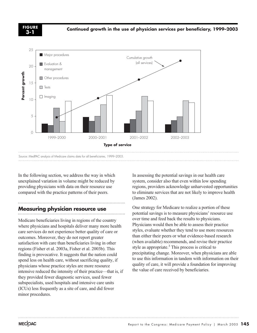**3-1**

**Continued growth in the use of physician services per beneficiary, 1999–2003 FIGURE**



In the following section, we address the way in which unexplained variation in volume might be reduced by providing physicians with data on their resource use compared with the practice patterns of their peers.

# **Measuring physician resource use**

Medicare beneficiaries living in regions of the country where physicians and hospitals deliver many more health care services do not experience better quality of care or outcomes. Moreover, they do not report greater satisfaction with care than beneficiaries living in other regions (Fisher et al. 2003a, Fisher et al. 2003b). This finding is provocative. It suggests that the nation could spend less on health care, without sacrificing quality, if physicians whose practice styles are more resource intensive reduced the intensity of their practice—that is, if they provided fewer diagnostic services, used fewer subspecialists, used hospitals and intensive care units (ICUs) less frequently as a site of care, and did fewer minor procedures.

In assessing the potential savings in our health care system, consider also that even within low spending regions, providers acknowledge unharvested opportunities to eliminate services that are not likely to improve health (James 2002).

One strategy for Medicare to realize a portion of these potential savings is to measure physicians' resource use over time and feed back the results to physicians. Physicians would then be able to assess their practice styles, evaluate whether they tend to use more resources than either their peers or what evidence-based research (when available) recommends, and revise their practice style as appropriate.<sup>3</sup> This process is critical to precipitating change. Moreover, when physicians are able to use this information in tandem with information on their quality of care, it will provide a foundation for improving the value of care received by beneficiaries.

. . . . .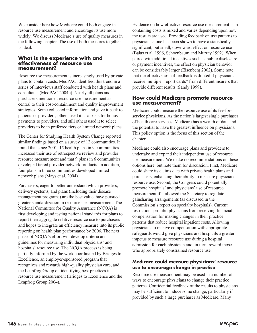We consider here how Medicare could both engage in resource use measurement and encourage its use more widely. We discuss Medicare's use of quality measures in the following chapter. The use of both measures together is ideal.

#### **What is the experience with and effectiveness of resource use measurement?**

Resource use measurement is increasingly used by private plans to contain costs. MedPAC identified this trend in a series of interviews staff conducted with health plans and consultants (MedPAC 2004b). Nearly all plans and purchasers mentioned resource use measurement as central to their cost-containment and quality improvement strategies. Some collected information and gave it back to patients or providers, others used it as a basis for bonus payments to providers, and still others used it to select providers to be in preferred tiers or limited network plans.

The Center for Studying Health System Change reported similar findings based on a survey of 12 communities. It found that since 2001, 15 health plans in 9 communities increased their use of retrospective review and provider resource measurement and that 9 plans in 6 communities developed tiered provider network products. In addition, four plans in three communities developed limited network plans (Mays et al. 2004).

Purchasers, eager to better understand which providers, delivery systems, and plans (including their disease management programs) are the best value, have pursued greater standardization in resource use measurement. The National Committee for Quality Assurance (NCQA) is first developing and testing national standards for plans to report their aggregate relative resource use to purchasers and hopes to integrate an efficiency measure into its public reporting on health plan performance by 2006. The next phase of NCQA's effort will develop criteria and guidelines for measuring individual physicians' and hospitals' resource use. The NCQA process is being partially informed by the work coordinated by Bridges to Excellence, an employer-sponsored program that recognizes and rewards high-quality physician care, and the Leapfrog Group on identifying best practices in resource use measurement (Bridges to Excellence and the Leapfrog Group 2004).

Evidence on how effective resource use measurement is in containing costs is mixed and varies depending upon how the results are used. Providing feedback on use patterns to physicians alone has been shown to have a statistically significant, but small, downward effect on resource use (Balas et al. 1996, Schoenbaum and Murray 1992). When paired with additional incentives such as public disclosure or payment incentives, the effect on physician behavior can be considerably larger (Eisenberg 2002). Some note that the effectiveness of feedback is diluted if physicians receive multiple "report cards" from different insurers that provide different results (Sandy 1999).

#### **How could Medicare promote resource use measurement?**

Medicare could measure the resource use of its fee-forservice physicians. As the nation's largest single purchaser of health care services, Medicare has a wealth of data and the potential to have the greatest influence on physicians. This policy option is the focus of this section of the chapter.

Medicare could also encourage plans and providers to undertake and expand their independent use of resource use measurement. We make no recommendations on these options here, but note them for discussion. First, Medicare could share its claims data with private health plans and purchasers, enhancing their ability to measure physicians' resource use. Second, the Congress could potentially promote hospitals' and physicians' use of resource measurement if it allowed the Secretary to regulate gainsharing arrangements (as discussed in the Commission's report on specialty hospitals). Current restrictions prohibit physicians from receiving financial compensation for making changes in their practice patterns that reduce hospital inpatient costs. Allowing physicians to receive compensation with appropriate safeguards would give physicians and hospitals a greater impetus to measure resource use during a hospital admission for each physician and, in turn, reward those who appropriately constrained resource use.

# **Medicare could measure physicians' resource use to encourage change in practice**

Resource use measurement may be used in a number of ways to encourage physicians to change their practice patterns. Confidential feedback of the results to physicians may be sufficient to induce some change, particularly if provided by such a large purchaser as Medicare. Many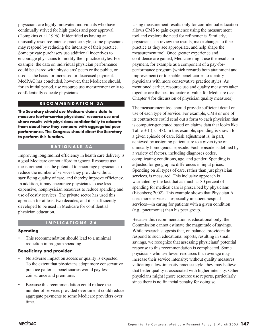physicians are highly motivated individuals who have continually strived for high grades and peer approval (Tompkins et al. 1996). If identified as having an unusually resource-intense practice style, some physicians may respond by reducing the intensity of their practice. Some private purchasers use additional incentives to encourage physicians to modify their practice styles. For example, the data on individual physician performance could be shared with physicians' peers or the public, or used as the basis for increased or decreased payment. MedPAC has concluded, however, that Medicare should, for an initial period, use resource use measurement only to confidentially educate physicians.

#### **RECOMMENDATION 3A**

**The Secretary should use Medicare claims data to measure fee-for-service physicians' resource use and share results with physicians confidentially to educate them about how they compare with aggregated peer performance. The Congress should direct the Secretary to perform this function.**

#### **RATIONALE 3A**

Improving longitudinal efficiency in health care delivery is a goal Medicare cannot afford to ignore. Resource use measurement has the potential to encourage physicians to reduce the number of services they provide without sacrificing quality of care, and thereby improve efficiency. In addition, it may encourage physicians to use less expensive, nonphysician resources to reduce spending and use of costly services. The private sector has used this approach for at least two decades, and it is sufficiently developed to be used in Medicare for confidential physician education.

#### **IMPLICATIONS 3A**

#### **Spending**

This recommendation should lead to a minimal reduction in program spending.

#### **Beneficiary and provider**

- No adverse impact on access or quality is expected. To the extent that physicians adopt more conservative practice patterns, beneficiaries would pay less coinsurance and premiums.
- Because this recommendation could reduce the number of services provided over time, it could reduce aggregate payments to some Medicare providers over time.

Using measurement results only for confidential education allows CMS to gain experience using the measurement tool and explore the need for refinements. Similarly, physicians can review the results, make changes to their practice as they see appropriate, and help shape the measurement tool. Once greater experience and confidence are gained, Medicare might use the results in payment, for example as a component of a pay-forperformance program (which rewards both attainment and improvement) or to enable beneficiaries to identify physicians with more conservative practice styles. As mentioned earlier, resource use and quality measures taken together are the best indicator of value for Medicare (see Chapter 4 for discussion of physician quality measures).

The measurement tool should provide sufficient detail on use of each type of service. For example, CMS or one of its contractors could send out a form to each physician that is computer-generated based on claims data that looks like Table 3-1 (p. 148). In this example, spending is shown for a given episode of care. Risk adjustment is, in part, achieved by assigning patient care to a given type of clinically homogenous episode. Each episode is defined by a variety of factors, including diagnoses codes, complicating conditions, age, and gender. Spending is adjusted for geographic differences in input prices. Spending on all types of care, rather than just physician services, is measured. This inclusive approach is warranted by the fact that as much as 80 percent of spending for medical care is prescribed by physicians (Eisenberg 2002). This example shows that Physician A uses more services—especially inpatient hospital services—in caring for patients with a given condition (e.g., pneumonia) than his peer group.

Because this recommendation is educational only, the Commission cannot estimate the magnitude of savings. While research suggests that, on balance, providers do respond to such educational reports, resulting in small savings, we recognize that assessing physicians' potential response to this recommendation is complicated. Some physicians who use fewer resources than average may increase their service intensity; without quality measures validating a low-intensity practice style, they may believe that better quality is associated with higher intensity. Other physicians might ignore resource use reports, particularly since there is no financial penalty for doing so.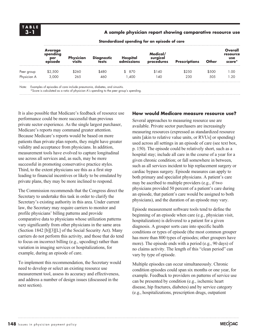**A sample physician report showing comparative resource use**

|             | <u>station also speriality</u> for all opisons of these |                            |                     |                        |                                    |                      |              |                                             |  |
|-------------|---------------------------------------------------------|----------------------------|---------------------|------------------------|------------------------------------|----------------------|--------------|---------------------------------------------|--|
|             | <b>Average</b><br>spending<br>per<br>episode            | Physician<br><b>visits</b> | Diagnostic<br>tests | Hospital<br>admissions | Medical/<br>surgical<br>procedures | <b>Prescriptions</b> | <b>Other</b> | Overall<br>resource<br><b>use</b><br>score* |  |
| Peer group  | \$2,500                                                 | \$260                      | \$480               | \$ 870                 | \$140                              | \$250                | \$500        | 1.00                                        |  |
| Physician A | 3,000                                                   | 265                        | 460                 | .400                   | 140                                | 230                  | 505          | 1.20                                        |  |

**Standardized spending for an episode of care**

Note: Examples of episodes of care include pneumonia, diabetes, and sinusitis.

\*Score is calculated as a ratio of physician A's spending to the peer group's spending.

It is also possible that Medicare's feedback of resource use performance could be more successful than previous private sector experience. As the single largest purchaser, Medicare's reports may command greater attention. Because Medicare's reports would be based on more patients than private plan reports, they might have greater validity and acceptance from physicians. In addition, measurement tools have evolved to capture longitudinal use across all services and, as such, may be more successful in promoting conservative practice styles. Third, to the extent physicians see this as a first step leading to financial incentives or likely to be emulated by private plans, they may be more inclined to respond.

The Commission recommends that the Congress direct the Secretary to undertake this task in order to clarify the Secretary's existing authority in this area. Under current law, the Secretary may require carriers to monitor and profile physicians' billing patterns and provide comparative data to physicians whose utilization patterns vary significantly from other physicians in the same area (Section 1842 [b][3][L] of the Social Security Act). Many carriers do not perform this activity, and those that do tend to focus on incorrect billing (e.g., upcoding) rather than variation in imaging services or hospitalizations, for example, during an episode of care.

To implement this recommendation, the Secretary would need to develop or select an existing resource use measurement tool, assess its accuracy and effectiveness, and address a number of design issues (discussed in the next section).

#### **How would Medicare measure resource use?**

Several approaches to measuring resource use are available. Private sector purchasers are increasingly measuring resources (expressed as standardized resource units [akin to relative value units, or RVUs] or spending) used across all settings in an episode of care (see text box, p. 150). The episode could be relatively short, such as a hospital stay; include all care in the course of a year for a given chronic condition; or fall somewhere in between, such as all services incident to hip replacement surgery or cardiac bypass surgery. Episode measures can apply to both primary and specialist physicians. A patient's care may be ascribed to multiple providers (e.g., if two physicians provided 50 percent of a patient's care during an episode, that patient's care would be assigned to both physicians), and the duration of an episode may vary.

Episode measurement software tools tend to define the beginning of an episode when care (e.g., physician visit, hospitalization) is delivered to a patient for a given diagnosis. A grouper sorts care into specific health conditions or types of episode (the most common grouper has more than 800 types of episodes; other groupers have more). The episode ends with a period (e.g., 90 days) of no claims activity. The length of this "clean period" can vary by type of episode.

Multiple episodes can occur simultaneously. Chronic condition episodes could span six months or one year, for example. Feedback to providers on patterns of service use can be presented by condition (e.g., ischemic heart disease, hip fractures, diabetes) and by service category (e.g., hospitalizations, prescription drugs, outpatient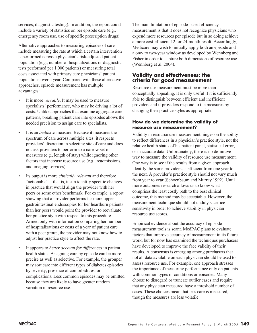services, diagnostic testing). In addition, the report could include a variety of statistics on per episode care (e.g., emergency room use, use of specific prescription drugs).

Alternative approaches to measuring episodes of care include measuring the rate at which a certain intervention is performed across a physician's risk-adjusted patient population (e.g., number of hospitalizations or diagnostic tests performed per 1,000 patients) or measuring total costs associated with primary care physicians' patient populations over a year. Compared with these alternative approaches, episode measurement has multiple advantages:

- It is more *versatile*. It may be used to measure specialists' performance, who may be driving a lot of costs. Unlike approaches that examine aggregate care patterns, breaking patient care into episodes allows the needed precision to assign care to specialists.
- It is an *inclusive* measure. Because it measures the spectrum of care across multiple sites, it respects providers' discretion in selecting site of care and does not ask providers to perform to a narrow set of measures (e.g., length of stay) while ignoring other factors that increase resource use (e.g., readmissions, and imaging services).
- Its output is more *clinically relevant* and therefore "actionable"—that is, it can identify specific changes in practice that would align the provider with her peers or some other benchmark. For example, a report showing that a provider performs far more upper gastrointestinal endoscopies for her heartburn patients than her peers would point the provider to reevaluate her practice style with respect to this procedure. Armed only with information comparing her number of hospitalizations or costs of a year of patient care with a peer group, the provider may not know how to adjust her practice style to affect the rate.
- It appears to *better account for differences* in patient health status. Assigning care by episode can be more precise as well as selective. For example, the grouper may sort care into different types of diabetes episodes by severity, presence of comorbidities, or complications. Less common episodes may be omitted because they are likely to have greater random variation in resource use.

The main limitation of episode-based efficiency measurement is that it does not recognize physicians who expend more resources per episode but in so doing achieve a more cost-efficient 12- or 24-month result. Accordingly, Medicare may wish to initially apply both an episode and a one- to two-year window as developed by Wennberg and Fisher in order to capture both dimensions of resource use (Wennberg et al. 2004).

# **Validity and effectiveness: the criteria for good measurement**

Resource use measurement must be more than conceptually appealing. It is only useful if it is sufficiently able to distinguish between efficient and inefficient providers and if providers respond to the measures by changing their practice styles as appropriate.

# **How do we determine the validity of resource use measurement?**

Validity in resource use measurement hinges on the ability to reflect differences in a physician's practice style, not the relative health status of his patient panel, statistical error, or inaccurate data. Unfortunately, there is no definitive way to measure the validity of resource use measurement. One way is to see if the results from a given approach identify the same providers as efficient from one year to the next. A provider's practice style should not vary much from year to year (Schoenbaum and Murray 1992). Until more outcomes research allows us to know what comprises the least costly path to the best clinical outcome, this method may be acceptable. However, the measurement technique should not unduly sacrifice sensitivity in order to achieve stability in physician resource use scores.

Empirical evidence about the accuracy of episode measurement tools is scant. MedPAC plans to evaluate factors that improve accuracy of measurement in its future work, but for now has examined the techniques purchasers have developed to improve the face validity of their results. A consensus is emerging among purchasers that not all data available on each physician should be used to assess resource use. For example, one approach stresses the importance of measuring performance only on patients with common types of conditions or episodes. Many choose to disregard or truncate outlier cases and require that any physician measured have a threshold number of cases. These choices mean that less care is measured, though the measures are less volatile.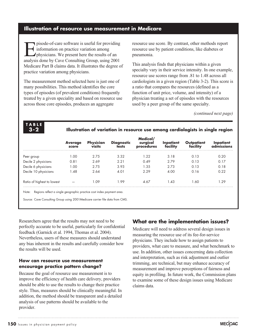### **Illustration of resource use measurement in Medicare**

pisode-of-care software is useful for providing information on practice variation among physicians. We present here the results of an analysis done by Cave Consulting Group, using 2001 Medicare Part B claims data. It illustrates the degree of practice variation among physicians.

The measurement method selected here is just one of many possibilities. This method identifies the core types of episodes (of prevalent conditions) frequently treated by a given speciality and based on resource use across those core episodes, produces an aggregate

resource use score. By contrast, other methods report resource use by patient conditions, like diabetes or pneumonia.

This analysis finds that physicians within a given specialty vary in their service intensity. In one example, resource use scores range from .81 to 1.48 across all cardiologists in a given region (Table 3-2). This score is a ratio that compares the resources (defined as a function of unit price, volume, and intensity) of a physician treating a set of episodes with the resources used by a peer group of the same specialty.

*(continued next page)*

**TABLE 3-2**

**Illustration of variation in resource use among cardiologists in single region**

|                            | <b>Average</b><br>score | <b>Physician</b><br>visits | <b>Diagnostic</b><br>tests | Medical/<br>surgical<br>procedures | Inpatient<br>facility | Outpatient | missions |
|----------------------------|-------------------------|----------------------------|----------------------------|------------------------------------|-----------------------|------------|----------|
| Peer group                 | ററ                      | 2.75                       | 3.32                       | -22                                | 3.18                  | 0.13       | ი 20     |
| Decile 2 physicians        | 0.81                    | 2.69                       | 2.21                       | 0.49                               | 2.79                  | 0.13       | 17       |
| Decile 6 physicians        | . ററ                    | 2.75                       | 3.93                       | $\sqrt{3.5}$                       | 2.73                  | 0.13       | O 18     |
| Decile 10 physicians       | .48                     | 2.64                       | 4.01                       | 2.29                               | 4.00                  | 0.16       | በ 22     |
| Ratio of highest to lowest |                         | L 09                       | -99                        | 4.67                               | .43                   | -60        | -29      |

Note: Regions reflect a single geographic practice cost index payment area.

Source: Cave Consulting Group using 2001Medicare carrier file data from CMS.

Researchers agree that the results may not need to be perfectly accurate to be useful, particularly for confidential feedback (Garnick et al. 1994, Thomas et al. 2004). Nevertheless, users of these measures should understand any bias inherent in the results and carefully consider how the results will be used.

#### **How can resource use measurement encourage practice pattern change?**

Because the goal of resource use measurement is to improve the efficiency of health care delivery, providers should be able to use the results to change their practice style. Thus, measures should be clinically meaningful. In addition, the method should be transparent and a detailed analysis of use patterns should be available to the provider.

# **What are the implementation issues?**

Medicare will need to address several design issues in measuring the resource use of its fee-for-service physicians. They include how to assign patients to providers, what care to measure, and what benchmark to use. In addition, other issues concerning data collection and interpretation, such as risk adjustment and outlier trimming, are technical, but may enhance accuracy of measurement and improve perceptions of fairness and equity in profiling. In future work, the Commission plans to examine some of these design issues using Medicare claims data.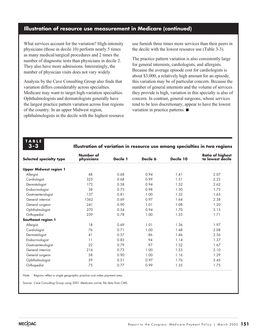# **Illustration of resource use measurement in Medicare (continued)**

What services account for the variation? High-intensity physicians (those in decile 10) perform nearly 5 times as many medical/surgical procedures and 2 times the number of diagnostic tests than physicians in decile 2. They also have more admissions. Interestingly, the number of physician visits does not vary widely.

Analysis by the Cave Consulting Group also finds that variation differs considerably across specialties. Medicare may want to target high-variation specialties. Ophthalmologists and dermatologists generally have the largest practice pattern variation across four regions of the country. In an upper Midwest region, ophthalmologists in the decile with the highest resource use furnish three times more services than their peers in the decile with the lowest resource use (Table 3-3).

The practice pattern variation is also consistently large for general internists, cardiologists, and allergists. Because the average episode cost for cardiologists is about \$3,000, a relatively high amount for an episode, this variation may be of particular concern. Because the number of general internists and the volume of services they provide is high, variation in this specialty is also of concern. In contrast, general surgeons, whose services tend to be less discretionary, appear to have the lowest variation in practice patterns.

**TABLE 3-3**

#### **Illustration of variation in resource use among specialties in two regions**

| <b>Selected specialty type</b> | Number of<br>physicians | Decile 1 | Decile 6 | Decile 10 | <b>Ratio of highest</b><br>to lowest decile |
|--------------------------------|-------------------------|----------|----------|-----------|---------------------------------------------|
| <b>Upper Midwest region 1</b>  |                         |          |          |           |                                             |
| Allergist                      | 48                      | 0.68     | 0.94     | 1.41      | 2.07                                        |
| Cardiologist                   | 325                     | 0.68     | 0.99     | 1.51      | 2.22                                        |
| Dermatologist                  | 172                     | 0.58     | 0.94     | 1.52      | 2.62                                        |
| Endocrinologist                | 38                      | 0.75     | 0.98     | 1.30      | 1.73                                        |
| Gastroenterologist             | 137                     | 0.81     | 1.00     | 1.32      | 1.63                                        |
| General internist              | 1362                    | 0.69     | 0.97     | 1.64      | 2.38                                        |
| General surgeon                | 241                     | 0.90     | 1.01     | 1.08      | 1.20                                        |
| Ophthalmologist                | 270                     | 0.54     | 0.94     | 1.70      | 3.15                                        |
| Orthopedist                    | 239                     | 0.78     | 1.00     | 1.33      | 1.71                                        |
| Southeast region 1             |                         |          |          |           |                                             |
| Allergist                      | 18                      | 0.69     | 1.01     | 1.36      | 1.97                                        |
| Cardiologist                   | 76                      | 0.71     | 1.00     | 1.48      | 2.08                                        |
| Dermatologist                  | 41                      | 0.57     | .86      | 1.46      | 2.56                                        |
| Endocrinologist                | 11                      | 0.83     | .94      | 1.14      | 1.37                                        |
| Gastroenterologist             | 22                      | 0.79     | .97      | 1.32      | 1.67                                        |
| General internist              | 216                     | 0.73     | 1.00     | 1.53      | 2.10                                        |
| General surgeon                | 58                      | 0.90     | 1.00     | 1.16      | 1.29                                        |
| Ophthalmologist                | 59                      | 0.51     | 0.97     | 1.76      | 3.45                                        |
| Orthopedist                    | 75                      | 0.77     | 0.99     | 1.35      | 1.75                                        |

Note: Regions reflect a single geographic practice cost index payment area.

Source: Cave Consulting Group using 2001 Medicare carrier file data from CMS.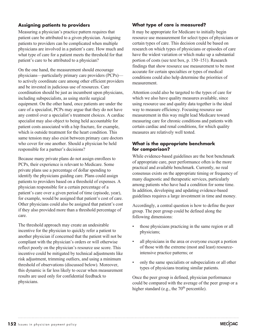### **Assigning patients to providers**

Measuring a physician's practice pattern requires that patient care be attributed to a given physician. Assigning patients to providers can be complicated when multiple physicians are involved in a patient's care. How much and what type of care for a patient meets the threshold for that patient's care to be attributed to a physician?

On the one hand, the measurement should encourage physicians—particularly primary care providers (PCPs) to actively coordinate care among other efficient providers and be invested in judicious use of resources. Care coordination should be just as incumbent upon physicians, including subspecialists, as using sterile surgical equipment. On the other hand, once patients are under the care of a specialist, PCPs may argue that they do not have any control over a specialist's treatment choices. A cardiac specialist may also object to being held accountable for patient costs associated with a hip fracture, for example, which is outside treatment for the heart condition. This same tension may also exist between primary care doctors who cover for one another. Should a physician be held responsible for a partner's decisions?

Because many private plans do not assign enrollees to PCPs, their experience is relevant to Medicare. Some private plans use a percentage of dollar spending to identify the physicians guiding care. Plans could assign patients to providers based on a threshold of expenses. A physician responsible for a certain percentage of a patient's care over a given period of time (episode, year), for example, would be assigned that patient's cost of care. Other physicians could also be assigned that patient's cost if they also provided more than a threshold percentage of care.

The threshold approach may create an undesirable incentive for the physician to quickly refer a patient to another physician if concerned that the patient will not be compliant with the physician's orders or will otherwise reflect poorly on the physician's resource use score. This incentive could be mitigated by technical adjustments like risk adjustment, trimming outliers, and using a minimum threshold of observations (discussed below). Moreover, this dynamic is far less likely to occur when measurement results are used only for confidential feedback to physicians.

#### **What type of care is measured?**

It may be appropriate for Medicare to initially begin resource use measurement for select types of physicians or certain types of care. This decision could be based on research on which types of physicians or episodes of care have the widest variation or which make up a substantial portion of costs (see text box, p. 150–151). Research findings that show resource use measurement to be most accurate for certain specialties or types of medical conditions could also help determine the priorities of measurement.

Attention could also be targeted to the types of care for which we also have quality measures available, since using resource use and quality data together is the ideal way to measure efficiency. Focusing resource use measurement in this way might lead Medicare toward measuring care for chronic conditions and patients with certain cardiac and renal conditions, for which quality measures are relatively well tested.

#### **What is the appropriate benchmark for comparison?**

While evidence-based guidelines are the best benchmark of appropriate care, peer performance often is the more practical and available benchmark. Currently, no real consensus exists on the appropriate timing or frequency of many diagnostic and therapeutic services, particularly among patients who have had a condition for some time. In addition, developing and updating evidence-based guidelines requires a large investment in time and money.

Accordingly, a central question is how to define the peer group. The peer group could be defined along the following dimensions:

- those physicians practicing in the same region or all physicians;
- all physicians in the area or everyone except a portion of those with the extreme (most and least) resourceintensive practice patterns; or
- only the same specialists or subspecialists or all other types of physicians treating similar patients.

Once the peer group is defined, physician performance could be compared with the average of the peer group or a higher standard (e.g., the  $70<sup>th</sup>$  percentile).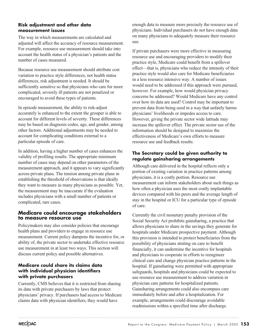#### **Risk adjustment and other data measurement issues**

The way in which measurements are calculated and adjusted will affect the accuracy of resource measurement. For example, resource use measurement should take into account the health status of a physician's patients and the number of cases measured.

Because resource use measurement should attribute cost variation to practice style differences, not health status differences, risk adjustment is needed. It should be sufficiently sensitive so that physicians who care for more complicated, severely ill patients are not penalized or encouraged to avoid these types of patients.

In episode measurement, the ability to risk-adjust accurately is enhanced to the extent the grouper is able to account for different levels of severity. These differences may be based on diagnosis codes, age, and gender, among other factors. Additional adjustments may be needed to account for complicating conditions external to a particular episode of care.

In addition, having a higher number of cases enhances the validity of profiling results. The appropriate minimum number of cases may depend on other parameters of the measurement approach, and it appears to vary significantly across private plans. The tension among private plans in establishing the threshold of observations is that ideally they want to measure as many physicians as possible. Yet, the measurement may be inaccurate if the evaluation includes physicians with a small number of patients or complicated, rare cases.

# **Medicare could encourage stakeholders to measure resource use**

Policymakers may also consider policies that encourage health plans and providers to engage in resource use measurement. Current policy dampens the incentive for, or ability of, the private sector to undertake effective resource use measurement in at least two ways. This section will discuss current policy and possible alternatives.

# **Medicare could share its claims data with individual physician identifiers with private purchasers**

Currently, CMS believes that it is restricted from sharing its data with private purchasers by laws that protect physicians' privacy. If purchasers had access to Medicare claims data with physician identifiers, they would have

enough data to measure more precisely the resource use of physicians. Individual purchasers do not have enough data on many physicians to adequately measure their resource use.

If private purchasers were more effective in measuring resource use and encouraging providers to modify their practice style, Medicare could benefit from a spillover effect—that is, physicians who reduce the intensity of their practice style would also care for Medicare beneficiaries in a less resource intensive way. A number of issues would need to be addressed if this approach were pursued, however. For example, how would physician privacy concerns be addressed? Would Medicare have any control over how its data are used? Control may be important to prevent data from being used in a way that unfairly harms physicians' livelihoods or impedes access to care. However, giving the private sector wide latitude may increase the spillover effect. The private sector use of the information should be designed to maximize the effectiveness of Medicare's own efforts to measure resource use and feedback results.

### **The Secretary could be given authority to regulate gainsharing arrangements**

Although care delivered in the hospital reflects only a portion of existing variation in practice patterns among physicians, it is a costly portion. Resource use measurement can inform stakeholders about such things as how often a physician uses the most costly implantable devices compared with his peers and the average length of stay in the hospital or ICU for a particular type of episode of care.

Currently the civil monetary penalty provision of the Social Security Act prohibits gainsharing, a practice that allows physicians to share in the savings they generate for hospitals under Medicare prospective payment. Although this provision is intended to protect beneficiaries from the possibility of physicians stinting on care to benefit financially, it can undermine the incentive for hospitals and physicians to cooperate in efforts to reengineer clinical care and change physician practice patterns in the hospital. If gainsharing were permitted with appropriate safeguards, hospitals and physicians could be expected to use resource use measurement to address variation in physician care patterns for hospitalized patients. Gainsharing arrangements could also encompass care immediately before and after a hospitalization. For example, arrangements could discourage avoidable readmissions within a specified time after discharge.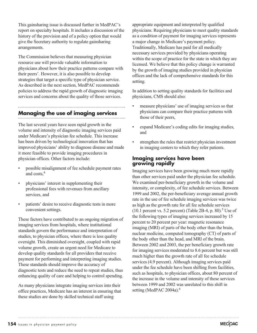This gainsharing issue is discussed further in MedPAC's report on specialty hospitals. It includes a discussion of the history of the provision and of a policy option that would give the Secretary authority to regulate gainsharing arrangements.

The Commission believes that measuring physician resource use will provide valuable information to physicians about how their practice patterns compare with their peers'. However, it is also possible to develop strategies that target a specific type of physician service. As described in the next section, MedPAC recommends policies to address the rapid growth of diagnostic imaging services and concerns about the quality of those services.

# **Managing the use of imaging services**

The last several years have seen rapid growth in the volume and intensity of diagnostic imaging services paid under Medicare's physician fee schedule. This increase has been driven by technological innovation that has improved physicians' ability to diagnose disease and made it more feasible to provide imaging procedures in physician offices. Other factors include:

- possible misalignment of fee schedule payment rates and costs,4
- physicians' interest in supplementing their professional fees with revenues from ancillary services, and
- patients' desire to receive diagnostic tests in more convenient settings.

These factors have contributed to an ongoing migration of imaging services from hospitals, where institutional standards govern the performance and interpretation of studies, to physician offices, where there is less quality oversight. This diminished oversight, coupled with rapid volume growth, create an urgent need for Medicare to develop quality standards for all providers that receive payment for performing and interpreting imaging studies. These standards should improve the accuracy of diagnostic tests and reduce the need to repeat studies, thus enhancing quality of care and helping to control spending.

As many physicians integrate imaging services into their office practices, Medicare has an interest in ensuring that these studies are done by skilled technical staff using

appropriate equipment and interpreted by qualified physicians. Requiring physicians to meet quality standards as a condition of payment for imaging services represents a major change in Medicare's payment policy. Traditionally, Medicare has paid for all medically necessary services provided by physicians operating within the scope of practice for the state in which they are licensed. We believe that this policy change is warranted by the growth of imaging studies provided in physician offices and the lack of comprehensive standards for this setting.

In addition to setting quality standards for facilities and physicians, CMS should also:

- measure physicians' use of imaging services so that physicians can compare their practice patterns with those of their peers,
- expand Medicare's coding edits for imaging studies, and
- strengthen the rules that restrict physician investment in imaging centers to which they refer patients.

#### **Imaging services have been growing rapidly**

Imaging services have been growing much more rapidly than other services paid under the physician fee schedule. We examined per-beneficiary growth in the volume and intensity, or complexity, of fee schedule services. Between 1999 and 2002, the per-beneficiary average annual growth rate in the use of fee schedule imaging services was twice as high as the growth rate for all fee schedule services  $(10.1$  percent vs. 5.2 percent) (Table 2B-4, p. 80).<sup>5</sup> Use of the following types of imaging services increased by 15 percent to 20 percent per year: magnetic resonance imaging (MRI) of parts of the body other than the brain, nuclear medicine, computed tomography (CT) of parts of the body other than the head, and MRI of the brain. Between 2002 and 2003, the per beneficiary growth rate for imaging services moderated to 8.6 percent but was still much higher than the growth rate of all fee schedule services (4.9 percent). Although imaging services paid under the fee schedule have been shifting from facilities, such as hospitals, to physician offices, about 80 percent of the increase in the volume and intensity of these services between 1999 and 2002 was unrelated to this shift in setting (MedPAC 2004a).<sup>6</sup>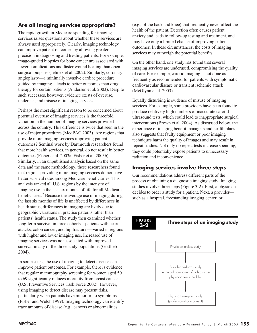# **Are all imaging services appropriate?**

The rapid growth in Medicare spending for imaging services raises questions about whether these services are always used appropriately. Clearly, imaging technology can improve patient outcomes by allowing greater precision in diagnosing and treating patients. For example, image-guided biopsies for bone cancer are associated with fewer complications and faster wound healing than open surgical biopsies (Jelinek et al. 2002). Similarly, coronary angioplasty—a minimally invasive cardiac procedure guided by imaging—leads to better outcomes than drug therapy for certain patients (Andersen et al. 2003). Despite such successes, however, evidence exists of overuse, underuse, and misuse of imaging services.

Perhaps the most significant reason to be concerned about potential overuse of imaging services is the threefold variation in the number of imaging services provided across the country. This difference is twice that seen in the use of major procedures (MedPAC 2003). Are regions that provide more imaging services improving patient outcomes? Seminal work by Dartmouth researchers found that more health services, in general, do not result in better outcomes (Fisher et al. 2003a, Fisher et al. 2003b). Similarly, in an unpublished analysis based on the same data and the same methodology, these researchers found that regions providing more imaging services do not have better survival rates among Medicare beneficiaries. This analysis ranked all U.S. regions by the intensity of imaging use in the last six months of life for all Medicare beneficiaries.7 Because the average use of imaging during the last six months of life is unaffected by differences in health status, differences in imaging are likely due to geographic variations in practice patterns rather than patients' health status. The study then examined whether long-term survival in three cohorts—patients with heart attacks, colon cancer, and hip fractures—varied in regions with higher and lower imaging use. Increased use of imaging services was not associated with improved survival in any of the three study populations (Gottlieb 2004).

In some cases, the use of imaging to detect disease can improve patient outcomes. For example, there is evidence that regular mammography screening for women aged 50 to 69 significantly reduces mortality from breast cancer (U.S. Preventive Services Task Force 2002). However, using imaging to detect disease may present risks, particularly when patients have minor or no symptoms (Fisher and Welch 1999). Imaging technology can identify trace amounts of disease (e.g., cancer) or abnormalities

(e.g., of the back and knee) that frequently never affect the health of the patient. Detection often causes patient anxiety and leads to follow-up testing and treatment, and may have only a limited chance of improving patient outcomes. In these circumstances, the costs of imaging services may outweigh the potential benefits.

On the other hand, one study has found that several imaging services are underused, compromising the quality of care. For example, carotid imaging is not done as frequently as recommended for patients with symptomatic cardiovascular disease or transient ischemic attack (McGlynn et al. 2003).

Equally disturbing is evidence of misuse of imaging services. For example, some providers have been found to produce relatively high numbers of inaccurate carotid ultrasound tests, which could lead to inappropriate surgical interventions (Brown et al. 2004). As discussed below, the experience of imaging benefit managers and health plans also suggests that faulty equipment or poor imaging techniques harm the quality of images and may result in repeat studies. Not only do repeat tests increase spending, they could potentially expose patients to unnecessary radiation and inconvenience.

# **Imaging services involve three steps**

Our recommendations address different parts of the process of obtaining a diagnostic imaging study. Imaging studies involve three steps (Figure 3-2). First, a physician decides to order a study for a patient. Next, a provider such as a hospital, freestanding imaging center, or

# **3-2**

# **Three steps of an imaging study FIGURE**

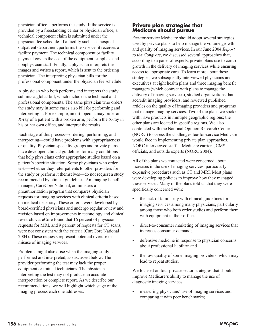physician office—performs the study. If the service is provided by a freestanding center or physician office, a technical component claim is submitted under the physician fee schedule. If a facility such as a hospital outpatient department performs the service, it receives a facility payment. The technical component or facility payment covers the cost of the equipment, supplies, and nonphysician staff. Finally, a physician interprets the images and writes a report, which is sent to the ordering physician. The interpreting physician bills for the professional component under the physician fee schedule.

A physician who both performs and interprets the study submits a global bill, which includes the technical and professional components. The same physician who orders the study may in some cases also bill for performing and interpreting it. For example, an orthopedist may order an X-ray of a patient with a broken arm, perform the X-ray in his or her own office, and interpret the results.

Each stage of this process—ordering, performing, and interpreting—could have problems with appropriateness or quality. Physician specialty groups and private plans have developed clinical guidelines for many conditions that help physicians order appropriate studies based on a patient's specific situation. Some physicians who order tests—whether they refer patients to other providers for the study or perform it themselves—do not request a study recommended by clinical guidelines. An imaging benefit manager, CareCore National, administers a preauthorization program that compares physician requests for imaging services with clinical criteria based on medical necessity. These criteria were developed by board-certified physicians and undergo regular review and revision based on improvements in technology and clinical research. CareCore found that 16 percent of physician requests for MRI, and 9 percent of requests for CT scans, were not consistent with the criteria (CareCore National 2004). These requests represent potential overuse or misuse of imaging services.

Problems might also arise when the imaging study is performed and interpreted, as discussed below. The provider performing the test may lack the proper equipment or trained technicians. The physician interpreting the test may not produce an accurate interpretation or complete report. As we describe our recommendations, we will highlight which stage of the imaging process each one addresses.

# **Private plan strategies that Medicare should pursue**

Fee-for-service Medicare should adopt several strategies used by private plans to help manage the volume growth and quality of imaging services. In our June 2004 *Report to the Congress*, we discussed several approaches that, according to a panel of experts, private plans use to control growth in the delivery of imaging services while ensuring access to appropriate care. To learn more about these strategies, we subsequently interviewed physicians and executives at eight health plans and three imaging benefit managers (which contract with plans to manage the delivery of imaging services), studied organizations that accredit imaging providers, and reviewed published articles on the quality of imaging providers and programs that manage imaging services. Two of the plans we spoke with have products in multiple geographic regions; the other plans are located in specific regions. We also contracted with the National Opinion Research Center (NORC) to assess the challenges fee-for-service Medicare would face in implementing private plan approaches. NORC interviewed staff at Medicare carriers, CMS officials, and outside experts (NORC 2004).

All of the plans we contacted were concerned about increases in the use of imaging services, particularly expensive procedures such as CT and MRI. Most plans were developing policies to improve how they managed these services. Many of the plans told us that they were specifically concerned with:

- the lack of familiarity with clinical guidelines for imaging services among many physicians, particularly among those who both order studies and perform them with equipment in their offices;
- direct-to-consumer marketing of imaging services that increases consumer demand;
- defensive medicine in response to physician concerns about professional liability; and
- the low quality of some imaging providers, which may lead to repeat studies.

We focused on four private sector strategies that should improve Medicare's ability to manage the use of diagnostic imaging services:

measuring physicians' use of imaging services and comparing it with peer benchmarks;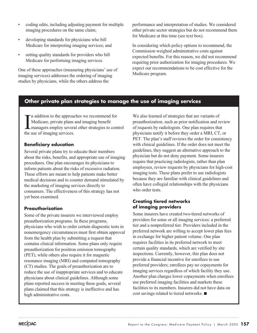- coding edits, including adjusting payment for multiple imaging procedures on the same claim;
- developing standards for physicians who bill Medicare for interpreting imaging services; and
- setting quality standards for providers who bill Medicare for performing imaging services.

One of these approaches (measuring physicians' use of imaging services) addresses the ordering of imaging studies by physicians, while the others address the

performance and interpretation of studies. We considered other private sector strategies but do not recommend them for Medicare at this time (see text box).

In considering which policy options to recommend, the Commission weighed administrative costs against expected benefits. For this reason, we did not recommend requiring prior authorization for imaging procedures. We expect our recommendations to be cost effective for the Medicare program.

# **Other private plan strategies to manage the use of imaging services**

 $\prod_{\text{the }i}$ n addition to the approaches we recommend for Medicare, private plans and imaging benefit managers employ several other strategies to control the use of imaging services.

# **Beneficiary education**

Several private plans try to educate their members about the risks, benefits, and appropriate use of imaging procedures. One plan encourages its physicians to inform patients about the risks of excessive radiation. These efforts are meant to help patients make better medical decisions and to counter demand stimulated by the marketing of imaging services directly to consumers. The effectiveness of this strategy has not yet been examined.

# **Preauthorization**

Some of the private insurers we interviewed employ preauthorization programs. In these programs, physicians who wish to order certain diagnostic tests in nonemergency circumstances must first obtain approval from the health plan by submitting a request that contains clinical information. Some plans only require preauthorization for positron emission tomography (PET), while others also require it for magnetic resonance imaging (MRI) and computed tomography (CT) studies. The goals of preauthorization are to reduce the use of inappropriate services and to educate physicians about clinical guidelines. Although some plans reported success in meeting these goals, several plans claimed that this strategy is ineffective and has high administrative costs.

We also learned of strategies that are variants of preauthorization, such as prior notification and review of requests by radiologists. One plan requires that physicians notify it before they order a MRI, CT, or PET. The plan's staff reviews the order for consistency with clinical guidelines. If the order does not meet the guidelines, they suggest an alternative approach to the physician but do not deny payment. Some insurers require that practicing radiologists, rather than plan employees, review requests by physicians for high-cost imaging tests. These plans prefer to use radiologists because they are familiar with clinical guidelines and often have collegial relationships with the physicians who order tests.

# **Creating tiered networks of imaging providers**

Some insurers have created two-tiered networks of providers for some or all imaging services: a preferred tier and a nonpreferred tier. Providers included in the preferred network are willing to accept lower plan fees in exchange for higher patient volume. One plan requires facilities in its preferred network to meet certain quality standards, which are verified by site inspections. Currently, however, this plan does not provide a financial incentive for enrollees to use preferred providers; enrollees pay no copayments for imaging services regardless of which facility they use. Another plan charges lower copayments when enrollees use preferred imaging facilities and markets these facilities to its members. Insurers did not have data on cost savings related to tiered networks.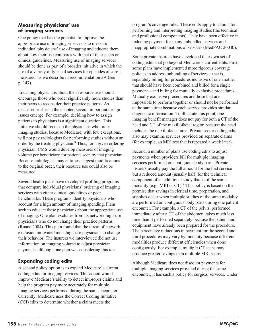#### **Measuring physicians' use of imaging services**

One policy that has the potential to improve the appropriate use of imaging services is to measure individual physicians' use of imaging and educate them about how their use compares with that of their peers or clinical guidelines. Measuring use of imaging services should be done as part of a broader initiative in which the use of a variety of types of services for episodes of care is measured, as we describe in recommendation 3A (see p. 147).

Educating physicians about their resource use should encourage those who order significantly more studies than their peers to reconsider their practice patterns. As discussed earlier in the chapter, several important design issues emerge. For example, deciding how to assign patients to physicians is a significant question. This initiative should focus on the physicians who order imaging studies, because Medicare, with few exceptions, will not pay radiologists for performing studies without an order by the treating physician.8 Thus, for a given ordering physician, CMS would develop measures of imaging volume per beneficiary for patients seen by that physician. Because radiologists may at times suggest modifications to the original order, their resource use could also be measured.

Several health plans have developed profiling programs that compare individual physicians' ordering of imaging services with either clinical guidelines or peer benchmarks. These programs identify physicians who account for a high amount of imaging spending. Plans seek to educate these physicians about the appropriate use of imaging. One plan excludes from its network high-use physicians who do not change their practice patterns (Ruane 2004). This plan found that the threat of network exclusion motivated most high-use physicians to change their behavior. The insurers we interviewed did not use information on imaging volume to adjust physician payments, although one plan was considering this idea.

### **Expanding coding edits**

A second policy option is to expand Medicare's current coding edits for imaging services. This action would improve Medicare's ability to detect improper claims and help the program pay more accurately for multiple imaging services performed during the same encounter. Currently, Medicare uses the Correct Coding Initiative (CCI) edits to determine whether a claim meets the

program's coverage rules. These edits apply to claims for performing and interpreting imaging studies (the technical and professional components). They have been effective in reducing payment for many unbundled services and inappropriate combinations of services (MedPAC 2004b).

Some private insurers have developed their own set of coding edits that go beyond Medicare's current edits. First, some plans have implemented more rigorous coverage policies to address unbundling of services—that is, separately billing for procedures inclusive of one another that should have been combined and billed for a single payment—and billing for mutually exclusive procedures. Mutually exclusive procedures are those that are impossible to perform together or should not be performed at the same time because each service provides similar diagnostic information. To illustrate this point, one imaging benefit manager does not pay for both a CT of the head and CT of the maxillofacial region because the head includes the maxillofacial area. Private sector coding edits also may examine services provided on separate claims (for example, an MRI test that is repeated a week later).

Second, a number of plans use coding edits to adjust payments when providers bill for multiple imaging services performed on contiguous body parts. Private insurers usually pay the full amount for the first service but a reduced amount (usually half) for the technical component of an additional study that is of the same modality (e.g., MRI or  $CT$ ).<sup>9</sup> This policy is based on the premise that savings in clerical time, preparation, and supplies occur when multiple studies of the same modality are performed on contiguous body parts during one patient encounter. For example, a CT of the pelvis, performed immediately after a CT of the abdomen, takes much less time than if performed separately because the patient and equipment have already been prepared for the procedure. The percentage reductions in payment for the second and third procedures may vary by modality because different modalities produce different efficiencies when done contiguously. For example, multiple CT scans may produce greater savings than multiple MRI scans.

Although Medicare does not discount payments for multiple imaging services provided during the same encounter, it has such a policy for surgical services. Under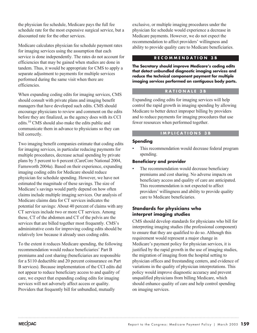the physician fee schedule, Medicare pays the full fee schedule rate for the most expensive surgical service, but a discounted rate for the other services.

Medicare calculates physician fee schedule payment rates for imaging services using the assumption that each service is done independently. The rates do not account for efficiencies that may be gained when studies are done in tandem. Thus, it would be appropriate for CMS to apply a separate adjustment to payments for multiple services performed during the same visit when there are efficiencies.

When expanding coding edits for imaging services, CMS should consult with private plans and imaging benefit managers that have developed such edits. CMS should encourage physicians to review and comment on the edits before they are finalized, as the agency does with its CCI edits.10 CMS should also make the edits public and communicate them in advance to physicians so they can bill correctly.

Two imaging benefit companies estimate that coding edits for imaging services, in particular reducing payments for multiple procedures, decrease actual spending by private plans by 5 percent to 6 percent (CareCore National 2004, Farnsworth 2004a). Based on their experience, expanding imaging coding edits for Medicare should reduce physician fee schedule spending. However, we have not estimated the magnitude of these savings. The size of Medicare's savings would partly depend on how often claims include multiple imaging services. Our analysis of Medicare claims data for CT services indicates the potential for savings: About 40 percent of claims with any CT services include two or more CT services. Among these, CT of the abdomen and CT of the pelvis are the services that are billed together most frequently. CMS's administrative costs for improving coding edits should be relatively low because it already uses coding edits.

To the extent it reduces Medicare spending, the following recommendation would reduce beneficiaries' Part B premiums and cost sharing (beneficiaries are responsible for a \$110 deductible and 20 percent coinsurance on Part B services). Because implementation of the CCI edits did not appear to reduce beneficiary access to and quality of care, we expect that expanding coding edits for imaging services will not adversely affect access or quality. Providers that frequently bill for unbundled, mutually

exclusive, or multiple imaging procedures under the physician fee schedule would experience a decrease in Medicare payments. However, we do not expect the recommendation to affect providers' willingness and ability to provide quality care to Medicare beneficiaries.

#### **RECOMMENDATION 3B**

**The Secretary should improve Medicare's coding edits that detect unbundled diagnostic imaging services and reduce the technical component payment for multiple imaging services performed on contiguous body parts.**

#### **RATIONALE 3B**

Expanding coding edits for imaging services will help control the rapid growth in imaging spending by allowing Medicare to better detect improper billing by providers and to reduce payments for imaging procedures that use fewer resources when performed together.

#### **IMPLICATIONS 3B**

#### **Spending**

This recommendation would decrease federal program spending.

#### **Beneficiary and provider**

The recommendation would decrease beneficiary premiums and cost sharing. No adverse impacts on beneficiary access and quality of care are anticipated. This recommendation is not expected to affect providers' willingness and ability to provide quality care to Medicare beneficiaries.

### **Standards for physicians who interpret imaging studies**

CMS should develop standards for physicians who bill for interpreting imaging studies (the professional component) to ensure that they are qualified to do so. Although this requirement would represent a major change in Medicare's payment policy for physician services, it is justified by the rapid growth in the use of imaging studies, the migration of imaging from the hospital setting to physician offices and freestanding centers, and evidence of variations in the quality of physician interpretations. This policy would improve diagnostic accuracy and prevent unqualified physicians from billing Medicare, which should enhance quality of care and help control spending on imaging services.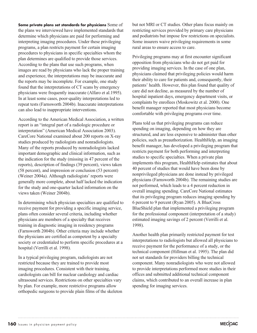**Some private plans set standards for physicians** Some of the plans we interviewed have implemented standards that determine which physicians are paid for performing and interpreting imaging procedures. Under these privileging programs, a plan restricts payment for certain imaging procedures to physicians in specific specialties whom the plan determines are qualified to provide those services. According to the plans that use such programs, when images are read by physicians who lack the proper training and experience, the interpretations may be inaccurate and the reports may be incomplete. For example, one study found that the interpretations of CT scans by emergency physicians were frequently inaccurate (Alfaro et al.1995). In at least some cases, poor-quality interpretations led to repeat tests (Farnsworth 2004b). Inaccurate interpretations can also lead to inappropriate interventions.

According to the American Medical Association, a written report is an "integral part of a radiologic procedure or interpretation" (American Medical Association 2003). CareCore National examined about 200 reports on X-ray studies produced by radiologists and nonradiologists. Many of the reports produced by nonradiologists lacked important demographic and clinical information, such as the indication for the study (missing in 47 percent of the reports), description of findings (39 percent), views taken (58 percent), and impression or conclusion (53 percent) (Weiner 2004a). Although radiologists' reports were generally more complete, about half lacked the indication for the study and one-quarter lacked information on the views taken (Weiner 2004b).

In determining which physician specialties are qualified to receive payment for providing a specific imaging service, plans often consider several criteria, including whether physicians are members of a specialty that receives training in diagnostic imaging in residency programs (Farnsworth 2004b). Other criteria may include whether the physicians are certified as competent by a specialty society or credentialed to perform specific procedures at a hospital (Verrilli et al. 1998).

In a typical privileging program, radiologists are not restricted because they are trained to provide most imaging procedures. Consistent with their training, cardiologists can bill for nuclear cardiology and cardiac ultrasound services. Restrictions on other specialties vary by plan. For example, more restrictive programs allow orthopedic surgeons to provide plain films of the skeleton but not MRI or CT studies. Other plans focus mainly on restricting services provided by primary care physicians and podiatrists but impose few restrictions on specialists. Some insurers waive privileging requirements in some rural areas to ensure access to care.

Privileging programs may at first encounter significant opposition from physicians who do not get paid for providing imaging services. In the case of one plan, physicians claimed that privileging policies would harm their ability to care for patients and, consequently, their patients' health. However, this plan found that quality of care did not decline, as measured by the number of hospital inpatient days, emergency department visits, or complaints by enrollees (Moskowitz et al. 2000). One benefit manager reported that most physicians become comfortable with privileging programs over time.

Plans told us that privileging programs can reduce spending on imaging, depending on how they are structured, and are less expensive to administer than other policies, such as preauthorization. HealthHelp, an imaging benefit manager, has developed a privileging program that restricts payment for both performing and interpreting studies to specific specialties. When a private plan implements this program, HealthHelp estimates that about 40 percent of studies that would have been done by nonprivileged physicians are done instead by privileged physicians (Farnsworth 2004b). The remaining studies are not performed, which leads to a 4 percent reduction in overall imaging spending. CareCore National estimates that its privileging program reduces imaging spending by 6 percent to 9 percent (Ryan 2005). A BlueCross BlueShield plan that implemented a privileging program for the professional component (interpretation of a study) estimated imaging savings of 2 percent (Verrilli et al. 1998).

Another health plan primarily restricted payment for test interpretations to radiologists but allowed all physicians to receive payment for the performance of a study, or the technical component (Hillman et al. 1995). The plan did not set standards for providers billing the technical component. Many nonradiologists who were not allowed to provide interpretations performed more studies in their offices and submitted additional technical component claims, which contributed to an overall increase in plan spending for imaging services.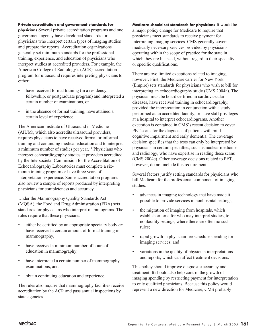#### **Private accreditation and government standards for**

**physicians** Several private accreditation programs and one government agency have developed standards for physicians who interpret certain types of imaging studies and prepare the reports. Accreditation organizations generally set minimum standards for the professional training, experience, and education of physicians who interpret studies at accredited providers. For example, the American College of Radiology's (ACR) accreditation program for ultrasound requires interpreting physicians to either:

- have received formal training (in a residency, fellowship, or postgraduate program) and interpreted a certain number of examinations, or
- in the absence of formal training, have attained a certain level of experience.

The American Institute of Ultrasound in Medicine (AIUM), which also accredits ultrasound providers, requires physicians to have received formal or informal training and continuing medical education and to interpret a minimum number of studies per year.<sup>11</sup> Physicians who interpret echocardiography studies at providers accredited by the Intersocietal Commission for the Accreditation of Echocardiography Laboratories must complete a sixmonth training program or have three years of interpretation experience. Some accreditation programs also review a sample of reports produced by interpreting physicians for completeness and accuracy.

Under the Mammography Quality Standards Act (MQSA), the Food and Drug Administration (FDA) sets standards for physicians who interpret mammograms. The rules require that these physicians:

- either be certified by an appropriate specialty body *or* have received a certain amount of formal training in mammography,
- have received a minimum number of hours of education in mammography,
- have interpreted a certain number of mammography examinations, and
- obtain continuing education and experience.

The rules also require that mammography facilities receive accreditation by the ACR and pass annual inspections by state agencies.

**Medicare should set standards for physicians** It would be a major policy change for Medicare to require that physicians meet standards to receive payment for interpreting imaging services. CMS generally covers medically necessary services provided by physicians operating within the scope of practice for the state in which they are licensed, without regard to their specialty or specific qualifications.

There are two limited exceptions related to imaging, however. First, the Medicare carrier for New York (Empire) sets standards for physicians who wish to bill for interpreting an echocardiography study (CMS 2004a). The physician must be board certified in cardiovascular diseases, have received training in echocardiography, provided the interpretation in conjunction with a study performed at an accredited facility, or have staff privileges at a hospital to interpret echocardiograms. Another exception is contained in CMS's recent decision to cover PET scans for the diagnosis of patients with mild cognitive impairment and early dementia. The coverage decision specifies that the tests can only be interpreted by physicians in certain specialties, such as nuclear medicine and radiology, who have expertise in reading these scans (CMS 2004c). Other coverage decisions related to PET, however, do not include this requirement.

Several factors justify setting standards for physicians who bill Medicare for the professional component of imaging studies:

- advances in imaging technology that have made it possible to provide services in nonhospital settings;
- the migration of imaging from hospitals, which establish criteria for who may interpret studies, to nonfacility settings, where there are often no such rules;
- rapid growth in physician fee schedule spending for imaging services; and
- variations in the quality of physician interpretations and reports, which can affect treatment decisions.

This policy should improve diagnostic accuracy and treatment. It should also help control the growth of imaging spending by restricting payment for interpretation to only qualified physicians. Because this policy would represent a new direction for Medicare, CMS probably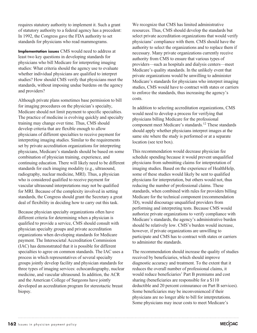requires statutory authority to implement it. Such a grant of statutory authority to a federal agency has a precedent: In 1992, the Congress gave the FDA authority to set standards for physicians who read mammograms.

**Implementation issues** CMS would need to address at least two key questions in developing standards for physicians who bill Medicare for interpreting imaging studies: What criteria should the agency use to evaluate whether individual physicians are qualified to interpret studies? How should CMS verify that physicians meet the standards, without imposing undue burdens on the agency and providers?

Although private plans sometimes base permission to bill for imaging procedures on the physician's specialty, Medicare should not limit payment to specific specialties. The practice of medicine is evolving quickly and specialty training may change over time. Thus, CMS should develop criteria that are flexible enough to allow physicians of different specialties to receive payment for interpreting imaging studies. Similar to the requirements set by private accreditation organizations for interpreting physicians, Medicare's standards should be based on some combination of physician training, experience, and continuing education. There will likely need to be different standards for each imaging modality (e.g., ultrasound, radiography, nuclear medicine, MRI). Thus, a physician who is considered qualified to receive payment for vascular ultrasound interpretations may not be qualified for MRI. Because of the complexity involved in setting standards, the Congress should grant the Secretary a great deal of flexibility in deciding how to carry out this task.

Because physician specialty organizations often have different criteria for determining when a physician is qualified to provide a service, CMS should consult with physician specialty groups and private accreditation organizations when developing standards for Medicare payment. The Intersocietal Accreditation Commission (IAC) has demonstrated that it is possible for different specialties to agree on common standards. The IAC uses a process in which representatives of several specialty groups jointly develop facility and physician standards for three types of imaging services: echocardiography, nuclear medicine, and vascular ultrasound. In addition, the ACR and the American College of Surgeons have jointly developed an accreditation program for stereotactic breast biopsy.

We recognize that CMS has limited administrative resources. Thus, CMS should develop the standards but select private accreditation organizations that would verify physicians' compliance with them. CMS should have the authority to select the organizations and to replace them if necessary. Many private organizations currently receive authority from CMS to ensure that various types of providers—such as hospitals and dialysis centers—meet Medicare's quality standards. In the unlikely event that private organizations would be unwilling to administer Medicare's standards for physicians who interpret imaging studies, CMS would have to contract with states or carriers to enforce the standards, thus increasing the agency's costs.

In addition to selecting accreditation organizations, CMS would need to develop a process for verifying that physicians billing Medicare for the professional component meet Medicare's standards.12 These standards should apply whether physicians interpret images at the same site where the study is performed or at a separate location (see text box).

This recommendation would decrease physician fee schedule spending because it would prevent unqualified physicians from submitting claims for interpretation of imaging studies. Based on the experience of HealthHelp, some of these studies would likely be sent to qualified physicians for interpretation, but others would not, thus reducing the number of professional claims. These standards, when combined with rules for providers billing Medicare for the technical component (recommendation 3D), would discourage unqualified providers from performing and interpreting tests. Because CMS would authorize private organizations to verify compliance with Medicare's standards, the agency's administrative burden should be relatively low. CMS's burden would increase, however, if private organizations are unwilling to participate and CMS has to contract with states or carriers to administer the standards.

The recommendation should increase the quality of studies received by beneficiaries, which should improve diagnostic accuracy and treatment. To the extent that it reduces the overall number of professional claims, it would reduce beneficiaries' Part B premiums and cost sharing (beneficiaries are responsible for a \$110 deductible and 20 percent coinsurance on Part B services). Some beneficiaries may be inconvenienced if their physicians are no longer able to bill for interpretations. Some physicians may incur costs to meet Medicare's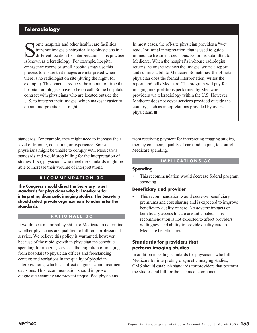# **Teleradiology**

Some hospitals and other health care facilities<br>transmit images electronically to physicians<br>different location for interpretation. This praise known as teleradiology. For example, hospital transmit images electronically to physicians in a different location for interpretation. This practice is known as teleradiology. For example, hospital emergency rooms or small hospitals may use this process to ensure that images are interpreted when there is no radiologist on site (during the night, for example). This practice reduces the amount of time that hospital radiologists have to be on call. Some hospitals contract with physicians who are located outside the U.S. to interpret their images, which makes it easier to obtain interpretations at night.

In most cases, the off-site physician provides a "wet read," or initial interpretation, that is used to guide immediate treatment decisions. No bill is submitted to Medicare. When the hospital's in-house radiologist returns, he or she reviews the images, writes a report, and submits a bill to Medicare. Sometimes, the off-site physician does the formal interpretation, writes the report, and bills Medicare. The program will pay for imaging interpretations performed by Medicare providers via teleradiology within the U.S. However, Medicare does not cover services provided outside the country, such as interpretations provided by overseas physicians.

standards. For example, they might need to increase their level of training, education, or experience. Some physicians might be unable to comply with Medicare's standards and would stop billing for the interpretation of studies. If so, physicians who meet the standards might be able to increase their volume of interpretations.

### **RECOMMENDATION 3C**

**The Congress should direct the Secretary to set standards for physicians who bill Medicare for interpreting diagnostic imaging studies. The Secretary should select private organizations to administer the standards.**

#### **RATIONALE 3C**

It would be a major policy shift for Medicare to determine whether physicians are qualified to bill for a professional service. We believe this policy is warranted, however, because of the rapid growth in physician fee schedule spending for imaging services; the migration of imaging from hospitals to physician offices and freestanding centers; and variations in the quality of physician interpretations, which can affect diagnostic and treatment decisions. This recommendation should improve diagnostic accuracy and prevent unqualified physicians

from receiving payment for interpreting imaging studies, thereby enhancing quality of care and helping to control Medicare spending.

#### **IMPLICATIONS 3C**

#### **Spending**

This recommendation would decrease federal program spending.

#### **Beneficiary and provider**

This recommendation would decrease beneficiary premiums and cost sharing and is expected to improve beneficiary quality of care. No adverse impacts on beneficiary access to care are anticipated. This recommendation is not expected to affect providers' willingness and ability to provide quality care to Medicare beneficiaries.

#### **Standards for providers that perform imaging studies**

In addition to setting standards for physicians who bill Medicare for interpreting diagnostic imaging studies, CMS should establish standards for providers that perform the studies and bill for the technical component.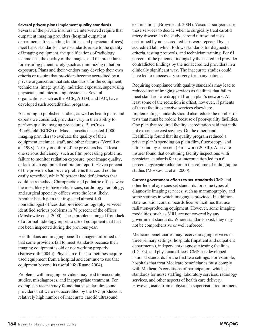#### **Several private plans implement quality standards**

Several of the private insurers we interviewed require that outpatient imaging providers (hospital outpatient departments, freestanding facilities, and physician offices) meet basic standards. These standards relate to the quality of imaging equipment, the qualifications of radiology technicians, the quality of the images, and the procedures for ensuring patient safety (such as minimizing radiation exposure). Plans and their vendors may develop their own criteria or require that providers become accredited by a private organization that sets standards for the equipment, technicians, image quality, radiation exposure, supervising physician, and interpreting physicians. Several organizations, such as the ACR, AIUM, and IAC, have developed such accreditation programs.

According to published studies, as well as health plans and experts we consulted, providers vary in their ability to perform quality imaging procedures. BlueCross BlueShield (BCBS) of Massachusetts inspected 1,000 imaging providers to evaluate the quality of their equipment, technical staff, and other features (Verrilli et al. 1998). Nearly one-third of the providers had at least one serious deficiency, such as film processing problems, failure to monitor radiation exposure, poor image quality, or lack of an equipment calibration report. Eleven percent of the providers had severe problems that could not be easily remedied, while 20 percent had deficiencies that could be remedied. Chiropractic and podiatric offices were the most likely to have deficiencies; cardiology, radiology, and surgical specialty offices were the least likely. Another health plan that inspected almost 100 nonradiologist offices that provided radiography services identified serious problems in 78 percent of the offices (Moskowitz et al. 2000). These problems ranged from lack of a formal radiology report to use of equipment that had not been inspected during the previous year.

Health plans and imaging benefit managers informed us that some providers fail to meet standards because their imaging equipment is old or not working properly (Farnsworth 2004b). Physician offices sometimes acquire used equipment from a hospital and continue to use that equipment beyond its useful life (Ruane 2004).

Problems with imaging providers may lead to inaccurate studies, misdiagnoses, and inappropriate treatment. For example, a recent study found that vascular ultrasound providers that were not accredited by the IAC produced a relatively high number of inaccurate carotid ultrasound

examinations (Brown et al. 2004). Vascular surgeons use these services to decide when to surgically treat carotid artery disease. In the study, carotid ultrasound tests performed by nonaccredited labs were repeated by an accredited lab, which follows standards for diagnostic criteria, testing protocols, and technician training. For 61 percent of the patients, findings by the accredited provider contradicted findings by the nonaccredited providers in a clinically significant way. The inaccurate studies could have led to unnecessary surgery for many patients.

Requiring compliance with quality standards may lead to reduced use of imaging services as facilities that fail to meet standards are dropped from a plan's network. At least some of the reduction is offset, however, if patients of those facilities receive services elsewhere. Implementing standards should also reduce the number of tests that must be redone because of poor-quality facilities. One plan that required facility accreditation said that it did not experience cost savings. On the other hand, HealthHelp found that its quality program reduced a private plan's spending on plain film, fluoroscopy, and ultrasound by 5 percent (Farnsworth 2004b). A private insurer found that combining facility inspections with physician standards for test interpretation led to a 6 percent aggregate reduction in the volume of radiographic studies (Moskowitz et al. 2000).

**Current government efforts to set standards** CMS and other federal agencies set standards for some types of diagnostic imaging services, such as mammography, and some settings in which imaging is provided. In addition, state radiation control boards license facilities that use radiation-producing equipment. However, some imaging modalities, such as MRI, are not covered by any government standards. Where standards exist, they may not be comprehensive or well enforced.

Medicare beneficiaries may receive imaging services in three primary settings: hospitals (inpatient and outpatient departments), independent diagnostic testing facilities (IDTFs), and physician offices. CMS has developed national standards for the first two settings. For example, hospitals that treat Medicare beneficiaries must comply with Medicare's conditions of participation, which set standards for nurse staffing, laboratory services, radiology services, and other aspects of health care delivery. However, aside from a physician supervision requirement,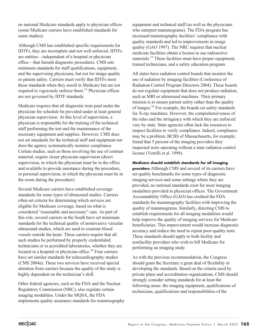no national Medicare standards apply to physician offices (some Medicare carriers have established standards for some studies).

Although CMS has established specific requirements for IDTFs, they are incomplete and not well enforced. IDTFs are entities—independent of a hospital or physician office—that furnish diagnostic procedures. CMS sets minimum standards for staff qualifications, equipment, and the supervising physicians, but not for image quality or patient safety. Carriers must verify that IDTFs meet these standards when they enroll in Medicare but are not required to vigorously enforce them.<sup>13</sup> Physician offices are not governed by IDTF standards.

Medicare requires that all diagnostic tests paid under the physician fee schedule be provided under at least general physician supervision. At this level of supervision, a physician is responsible for the training of the technical staff performing the test and the maintenance of the necessary equipment and supplies. However, CMS does not set standards for the technical staff and equipment nor does the agency systematically monitor compliance. Certain studies, such as those involving the use of contrast material, require closer physician supervision (direct supervision, in which the physician must be in the office and available to provide assistance during the procedure, or personal supervision, in which the physician must be in the room during the procedure).

Several Medicare carriers have established coverage standards for some types of ultrasound studies. Carriers often set criteria for determining which services are eligible for Medicare coverage, based on what is considered "reasonable and necessary" care. As part of this role, several carriers in the South have set minimum standards for the technical quality of noninvasive vascular ultrasound studies, which are used to examine blood vessels outside the heart. These carriers require that all such studies be performed by properly credentialed technicians or in accredited laboratories, whether they are located in a hospital or physician office.<sup>14</sup> Four carriers have set similar standards for echocardiography studies (CMS 2004a). These two services have received special attention from carriers because the quality of the study is highly dependent on the technician's skill.

Other federal agencies, such as the FDA and the Nuclear Regulatory Commission (NRC), also regulate certain imaging modalities. Under the MQSA, the FDA implements quality assurance standards for mammography

equipment and technical staff (as well as the physicians who interpret mammograms). The FDA program has increased mammography facilities' compliance with quality standards and led to improvements in image quality (GAO 1997). The NRC requires that nuclear medicine facilities obtain a license to use radioactive materials.<sup>15</sup> These facilities must have proper equipment, trained technicians, and a safety education program.

All states have radiation control boards that monitor the use of radiation by imaging facilities (Conference of Radiation Control Program Directors 2004). These boards do not regulate equipment that does not produce radiation, such as MRI or ultrasound machines. Their primary mission is to ensure patient safety rather than the quality of images.16 For example, the boards set safety standards for X-ray machines. However, the comprehensiveness of the rules and the stringency with which they are enforced vary by state. State agencies often lack the resources to inspect facilities to verify compliance. Indeed, compliance may be a problem; BCBS of Massachusetts, for example, found that 5 percent of the imaging providers they inspected were operating without a state radiation control license (Verrilli et al. 1998).

**Medicare should establish standards for all imaging providers** Although CMS and several of its carriers have set quality benchmarks for some types of diagnostic imaging services and some settings where they are provided, no national standards exist for most imaging modalities provided in physician offices. The Government Accountability Office (GAO) has credited the FDA standards for mammography facilities with improving the quality of mammograms. Similarly, directing CMS to establish requirements for all imaging modalities would help improve the quality of imaging services for Medicare beneficiaries. This improvement would increase diagnostic accuracy and reduce the need to repeat poor-quality tests. These standards should apply to both facility and nonfacility providers who wish to bill Medicare for performing an imaging study.

As with the previous recommendation, the Congress should grant the Secretary a great deal of flexibility in developing the standards. Based on the criteria used by private plans and accreditation organizations, CMS should strongly consider setting standards for at least the following areas: the imaging equipment, qualifications of technicians, qualifications and responsibilities of the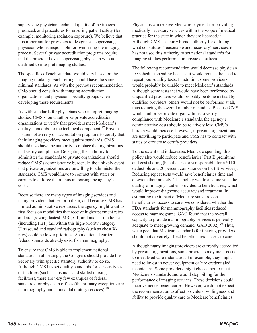supervising physician, technical quality of the images produced, and procedures for ensuring patient safety (for example, monitoring radiation exposure). We believe that it is important for providers to designate a supervising physician who is responsible for overseeing the imaging process. Several private accreditation programs require that the provider have a supervising physician who is qualified to interpret imaging studies.

The specifics of each standard would vary based on the imaging modality. Each setting should have the same minimal standards. As with the previous recommendation, CMS should consult with imaging accreditation organizations and physician specialty groups when developing these requirements.

As with standards for physicians who interpret imaging studies, CMS should authorize private accreditation organizations to verify that providers meet Medicare's quality standards for the technical component.<sup>17</sup> Private insurers often rely on accreditation programs to certify that their imaging providers meet quality standards. CMS should also have the authority to replace the organizations that verify compliance. Delegating the authority to administer the standards to private organizations should reduce CMS's administrative burden. In the unlikely event that private organizations are unwilling to administer the standards, CMS would have to contract with states or carriers to enforce them, thus increasing the agency's costs.

Because there are many types of imaging services and many providers that perform them, and because CMS has limited administrative resources, the agency might want to first focus on modalities that receive higher payment rates and are growing fastest. MRI, CT, and nuclear medicine (including PET) fall within this high-priority category. Ultrasound and standard radiography (such as chest Xrays) could be lower priorities. As mentioned earlier, federal standards already exist for mammography.

To ensure that CMS is able to implement national standards in all settings, the Congress should provide the Secretary with specific statutory authority to do so. Although CMS has set quality standards for various types of facilities (such as hospitals and skilled nursing facilities), there are very few examples of federal standards for physician offices (the primary exceptions are mammography and clinical laboratory services).<sup>18</sup>

Physicians can receive Medicare payment for providing medically necessary services within the scope of medical practice for the state in which they are licensed.19 Although CMS has fairly broad authority for defining what constitutes "reasonable and necessary" services, it has not used this authority to set national standards for imaging studies performed in physician offices.

The following recommendation would decrease physician fee schedule spending because it would reduce the need to repeat poor-quality tests. In addition, some providers would probably be unable to meet Medicare's standards. Although some tests that would have been performed by unqualified providers would probably be done instead by qualified providers, others would not be performed at all, thus reducing the overall number of studies. Because CMS would authorize private organizations to verify compliance with Medicare's standards, the agency's administrative costs should be relatively low. CMS's burden would increase, however, if private organizations are unwilling to participate and CMS has to contract with states or carriers to certify providers.

To the extent that it decreases Medicare spending, this policy also would reduce beneficiaries' Part B premiums and cost sharing (beneficiaries are responsible for a \$110 deductible and 20 percent coinsurance on Part B services). Reducing repeat tests would save beneficiaries time and alleviate their anxiety. This policy would also increase the quality of imaging studies provided to beneficiaries, which would improve diagnostic accuracy and treatment. In estimating the impact of Medicare standards on beneficiaries' access to care, we considered whether the FDA standards for mammography facilities reduced access to mammograms. GAO found that the overall capacity to provide mammography services is generally adequate to meet growing demand (GAO 2002).<sup>20</sup> Thus, we expect that Medicare standards for imaging providers should not adversely affect beneficiaries' access to care.

Although many imaging providers are currently accredited by private organizations, some providers may incur costs to meet Medicare's standards. For example, they might need to invest in newer equipment or hire credentialed technicians. Some providers might choose not to meet Medicare's standards and would stop billing for the performance of imaging services. These decisions could inconvenience beneficiaries. However, we do not expect the recommendation to affect providers' willingness and ability to provide quality care to Medicare beneficiaries.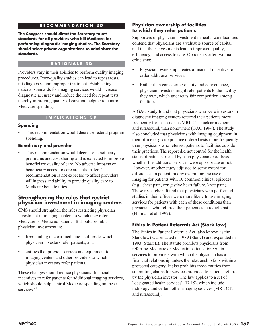### **RECOMMENDATION 3D**

**The Congress should direct the Secretary to set standards for all providers who bill Medicare for performing diagnostic imaging studies. The Secretary should select private organizations to administer the standards.**

#### **RATIONALE 3D**

Providers vary in their abilities to perform quality imaging procedures. Poor-quality studies can lead to repeat tests, misdiagnoses, and improper treatment. Establishing national standards for imaging services would increase diagnostic accuracy and reduce the need for repeat tests, thereby improving quality of care and helping to control Medicare spending.

#### **IMPLICATIONS 3D**

#### **Spending**

This recommendation would decrease federal program spending.

#### **Beneficiary and provider**

This recommendation would decrease beneficiary premiums and cost sharing and is expected to improve beneficiary quality of care. No adverse impacts on beneficiary access to care are anticipated. This recommendation is not expected to affect providers' willingness and ability to provide quality care to Medicare beneficiaries.

# **Strengthening the rules that restrict physician investment in imaging centers**

CMS should strengthen the rules restricting physician investment in imaging centers to which they refer Medicare or Medicaid patients. It should prohibit physician investment in:

- freestanding nuclear medicine facilities to which physician investors refer patients, and
- entities that provide services and equipment to imaging centers and other providers to which physician investors refer patients.

These changes should reduce physicians' financial incentives to refer patients for additional imaging services, which should help control Medicare spending on these services.<sup>21</sup>

#### **Physician ownership of facilities to which they refer patients**

Supporters of physician investment in health care facilities contend that physicians are a valuable source of capital and that their investments lead to improved quality, efficiency, and access to care. Opponents offer two main criticisms:

- Physician ownership creates a financial incentive to order additional services.
- Rather than considering quality and convenience, physician investors might refer patients to the facility they own, which undercuts fair competition among facilities.

A GAO study found that physicians who were investors in diagnostic imaging centers referred their patients more frequently for tests such as MRI, CT, nuclear medicine, and ultrasound, than nonowners (GAO 1994). The study also concluded that physicians with imaging equipment in their office or group practice ordered tests more frequently than physicians who referred patients to facilities outside their practices. The report did not control for the health status of patients treated by each physician or address whether the additional services were appropriate or not. However, another study adjusted to some extent for differences in patient mix by examining the use of imaging for patients with 10 common clinical episodes (e.g., chest pain, congestive heart failure, knee pain). These researchers found that physicians who performed studies in their offices were more likely to use imaging services for patients with each of these conditions than physicians who referred their patients to a radiologist (Hillman et al. 1992).

### **Ethics in Patient Referrals Act (Stark law)**

The Ethics in Patient Referrals Act (also known as the Stark law) was enacted in 1989 (Stark I) and expanded in 1993 (Stark II). The statute prohibits physicians from referring Medicare or Medicaid patients for certain services to providers with which the physician has a financial relationship unless the relationship falls within a protected category. It also prohibits those entities from submitting claims for services provided to patients referred by the physician investor. The law applies to a set of "designated health services" (DHS), which include radiology and certain other imaging services (MRI, CT, and ultrasound).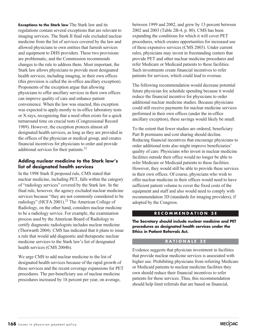**Exceptions to the Stark law** The Stark law and its regulations contain several exceptions that are relevant to imaging services. The Stark II final rule excluded nuclear medicine from the list of services covered by the law and allowed physicians to own entities that furnish services and equipment to DHS providers. These two provisions are problematic, and the Commission recommends changes to the rule to address them. Most important, the Stark law allows physicians to provide most designated health services, including imaging, in their own offices (this provision is called the in-office ancillary exception). Proponents of the exception argue that allowing physicians to offer ancillary services in their own offices can improve quality of care and enhance patient convenience. When the law was enacted, this exception was expected to apply mostly to in-office laboratory tests or X-rays, recognizing that a need often exists for a quick turnaround time on crucial tests (Congressional Record 1989). However, the exception protects almost all designated health services, as long as they are provided in the offices of the physician or medical group, and creates financial incentives for physicians to order and provide additional services for their patients.<sup>22</sup>

### **Adding nuclear medicine to the Stark law's list of designated health services**

In the 1998 Stark II proposed rule, CMS stated that nuclear medicine, including PET, falls within the category of "radiology services" covered by the Stark law. In the final rule, however, the agency excluded nuclear medicine services because "they are not commonly considered to be radiology" (HCFA 2001).<sup>23</sup> The American College of Radiology, on the other hand, considers nuclear medicine to be a radiology service. For example, the examination process used by the American Board of Radiology to certify diagnostic radiologists includes nuclear medicine (Thorwarth 2004). CMS has indicated that it plans to issue a rule that would add diagnostic and therapeutic nuclear medicine services to the Stark law's list of designated health services (CMS 2004b).

We urge CMS to add nuclear medicine to the list of designated health services because of the rapid growth of these services and the recent coverage expansions for PET procedures. The per-beneficiary use of nuclear medicine procedures increased by 18 percent per year, on average,

between 1999 and 2002, and grew by 13 percent between 2002 and 2003 (Table 2B-4, p. 80). CMS has been expanding the conditions for which it will cover PET procedures, which creates opportunities for increased use of these expensive services (CMS 2003). Under current rules, physicians may invest in freestanding centers that provide PET and other nuclear medicine procedures and refer Medicare or Medicaid patients to these facilities. Such investments create financial incentives to refer patients for services, which could lead to overuse.

The following recommendation would decrease potential future physician fee schedule spending because it would reduce the financial incentive for physicians to order additional nuclear medicine studies. Because physicians could still receive payments for nuclear medicine services performed in their own offices (under the in-office ancillary exception), these savings would likely be small.

To the extent that fewer studies are ordered, beneficiary Part B premiums and cost sharing should decline. Reducing financial incentives that encourage physicians to order additional tests also might improve beneficiaries' quality of care. Physicians who invest in nuclear medicine facilities outside their office would no longer be able to refer Medicare or Medicaid patients to these facilities. However, they would still be able to provide these services in their own offices. Of course, physicians who wish to offer nuclear medicine in their offices would need to have sufficient patient volume to cover the fixed costs of the equipment and staff and also would need to comply with recommendation 3D (standards for imaging providers), if adopted by the Congress.

#### **RECOMMENDATION 3E**

**The Secretary should include nuclear medicine and PET procedures as designated health services under the Ethics in Patient Referrals Act.**

#### **RATIONALE 3E**

Evidence suggests that physician investment in facilities that provide nuclear medicine services is associated with higher use. Prohibiting physicians from referring Medicare or Medicaid patients to nuclear medicine facilities they own should reduce their financial incentives to refer patients for these services. Thus, this recommendation should help limit referrals that are based on financial,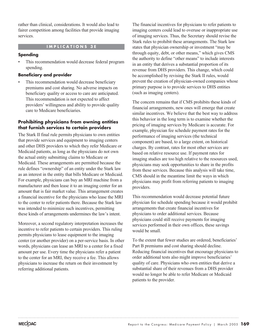rather than clinical, considerations. It would also lead to fairer competition among facilities that provide imaging services.

# **IMPLICATIONS 3E**

#### **Spending**

This recommendation would decrease federal program spending.

#### **Beneficiary and provider**

This recommendation would decrease beneficiary premiums and cost sharing. No adverse impacts on beneficiary quality or access to care are anticipated. This recommendation is not expected to affect providers' willingness and ability to provide quality care to Medicare beneficiaries.

#### **Prohibiting physicians from owning entities that furnish services to certain providers**

The Stark II final rule permits physicians to own entities that provide services and equipment to imaging centers and other DHS providers to which they refer Medicare or Medicaid patients, as long as the physicians do not own the actual entity submitting claims to Medicare or Medicaid. These arrangements are permitted because the rule defines "ownership" of an entity under the Stark law as an interest in the entity that bills Medicare or Medicaid. For example, physicians can buy an MRI machine from a manufacturer and then lease it to an imaging center for an amount that is fair market value. This arrangement creates a financial incentive for the physicians who lease the MRI to the center to refer patients there. Because the Stark law was intended to minimize such incentives, permitting these kinds of arrangements undermines the law's intent.

Moreover, a second regulatory interpretation increases the incentive to refer patients to certain providers. This ruling permits physicians to lease equipment to the imaging center (or another provider) on a per-service basis. In other words, physicians can lease an MRI to a center for a fixed amount per use. Every time the physicians refer a patient to the center for an MRI, they receive a fee. This allows physicians to increase the return on their investment by referring additional patients.

The financial incentives for physicians to refer patients to imaging centers could lead to overuse or inappropriate use of imaging services. Thus, the Secretary should revise the Stark rules to prohibit these arrangements. The Stark law states that physician ownership or investment "may be through equity, debt, or other means," which gives CMS the authority to define "other means" to include interests in an entity that derives a substantial proportion of its revenue from DHS providers. This change, which could be accomplished by revising the Stark II rules, would prevent the creation of physician-owned companies whose primary purpose is to provide services to DHS entities (such as imaging centers).

The concern remains that if CMS prohibits these kinds of financial arrangements, new ones will emerge that create similar incentives. We believe that the best way to address this behavior in the long term is to examine whether the pricing of imaging services by Medicare is accurate. For example, physician fee schedule payment rates for the performance of imaging services (the technical component) are based, to a large extent, on historical charges. By contrast, rates for most other services are based on relative resource use. If payment rates for imaging studies are too high relative to the resources used, physicians may seek opportunities to share in the profits from these services. Because this analysis will take time, CMS should in the meantime limit the ways in which physicians may profit from referring patients to imaging providers.

This recommendation would decrease potential future physician fee schedule spending because it would prohibit arrangements that create financial incentives for physicians to order additional services. Because physicians could still receive payments for imaging services performed in their own offices, these savings would be small.

To the extent that fewer studies are ordered, beneficiaries' Part B premiums and cost sharing should decline. Reducing financial incentives that encourage physicians to order additional tests also might improve beneficiaries' quality of care. Physicians who own entities that derive a substantial share of their revenues from a DHS provider would no longer be able to refer Medicare or Medicaid patients to the provider.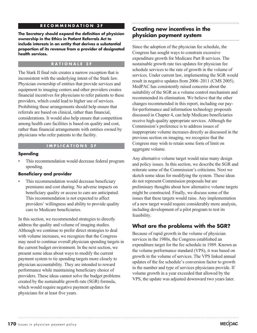#### **RECOMMENDATION 3F**

**The Secretary should expand the definition of physician ownership in the Ethics in Patient Referrals Act to include interests in an entity that derives a substantial proportion of its revenue from a provider of designated health services.** 

#### **RATIONALE 3F**

The Stark II final rule creates a narrow exception that is inconsistent with the underlying intent of the Stark law. Physician ownership of entities that provide services and equipment to imaging centers and other providers creates financial incentives for physicians to refer patients to these providers, which could lead to higher use of services. Prohibiting these arrangements should help ensure that referrals are based on clinical, rather than financial, considerations. It would also help ensure that competition among health care facilities is based on quality and cost, rather than financial arrangements with entities owned by physicians who refer patients to the facility.

#### **IMPLICATIONS 3F**

#### **Spending**

This recommendation would decrease federal program spending.

#### **Beneficiary and provider**

This recommendation would decrease beneficiary premiums and cost sharing. No adverse impacts on beneficiary quality or access to care are anticipated. This recommendation is not expected to affect providers' willingness and ability to provide quality care to Medicare beneficiaries.

In this section, we recommended strategies to directly address the quality and volume of imaging studies. Although we continue to prefer direct strategies to deal with volume increases, we recognize that the Congress may need to continue overall physician spending targets in the current budget environment. In the next section, we present some ideas about ways to modify the current payment system to tie spending targets more closely to physician accountability. They are intended to reward performance while maintaining beneficiary choice of providers. These ideas cannot solve the budget problems created by the sustainable growth rate (SGR) formula, which would require negative payment updates for physicians for at least five years.

# **Creating new incentives in the physician payment system**

Since the adoption of the physician fee schedule, the Congress has sought ways to constrain excessive expenditure growth for Medicare Part B services. The sustainable growth rate ties updates for physician fee schedule services to the rate of growth in the volume of services. Under current law, implementing the SGR would result in negative updates from 2006–2011 (CMS 2005). MedPAC has consistently raised concerns about the suitability of the SGR as a volume control mechanism and recommended its elimination. We believe that the other changes recommended in this report, including our payfor-performance and information technology proposals discussed in Chapter 4, can help Medicare beneficiaries receive high-quality appropriate services. Although the Commission's preference is to address issues of inappropriate volume increases directly as discussed in the previous section on imaging, we recognize that the Congress may wish to retain some form of limit on aggregate volume.

Any alternative volume target would raise many design and policy issues. In this section, we describe the SGR and reiterate some of the Commission's criticisms. Next we sketch some ideas for modifying the system. These ideas do not represent Commission proposals but are preliminary thoughts about how alternative volume targets might be constructed. Finally, we discuss some of the issues that these targets would raise. Any implementation of a new target would require considerably more analysis, including development of a pilot program to test its feasibility.

# **What are the problems with the SGR?**

Because of rapid growth in the volume of physician services in the 1980s, the Congress established an expenditure target for the fee schedule in 1989. Known as the volume performance standard (VPS), it was based on growth in the volume of services. The VPS linked annual updates of the fee schedule's conversion factor to growth in the number and type of services physicians provide. If volume growth in a year exceeded that allowed by the VPS, the update was adjusted downward two years later.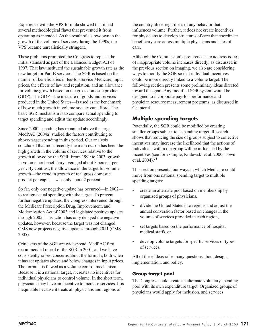Experience with the VPS formula showed that it had several methodological flaws that prevented it from operating as intended. As the result of a slowdown in the growth of the volume of services during the 1990s, the VPS became unrealistically stringent.

These problems prompted the Congress to replace the initial standard as part of the Balanced Budget Act of 1997. That law instituted the sustainable growth rate as the new target for Part B services. The SGR is based on the number of beneficiaries in fee-for-service Medicare, input prices, the effects of law and regulation, and an allowance for volume growth based on the gross domestic product (GDP). The GDP—the measure of goods and services produced in the United States—is used as the benchmark of how much growth in volume society can afford. The basic SGR mechanism is to compare actual spending to target spending and adjust the update accordingly.

Since 2000, spending has remained above the target. MedPAC (2004a) studied the factors contributing to above-target spending in this period. Our analysis concluded that most recently the main reason has been the high growth in the volume of services relative to the growth allowed by the SGR. From 1999 to 2003, growth in volume per beneficiary averaged about 5 percent per year. By contrast, the allowance in the target for volume growth—the trend in growth of real gross domestic product per capita—was only about 2 percent.

So far, only one negative update has occurred—in 2002 to realign actual spending with the target. To prevent further negative updates, the Congress intervened through the Medicare Prescription Drug, Improvement, and Modernization Act of 2003 and legislated positive updates through 2005. This action has only delayed the negative updates, however, because the target was not changed. CMS now projects negative updates through 2011 (CMS 2005).

Criticisms of the SGR are widespread. MedPAC first recommended repeal of the SGR in 2001, and we have consistently raised concerns about the formula, both when it has set updates above and below changes in input prices. The formula is flawed as a volume control mechanism. Because it is a national target, it creates no incentives for individual physicians to control volume. In the short term, physicians may have an incentive to increase services. It is inequitable because it treats all physicians and regions of

the country alike, regardless of any behavior that influences volume. Further, it does not create incentives for physicians to develop structures of care that coordinate beneficiary care across multiple physicians and sites of care.

Although the Commission's preference is to address issues of inappropriate volume increases directly, as discussed in the previous section on imaging, we also are considering ways to modify the SGR so that individual incentives could be more directly linked to a volume target. The following section presents some preliminary ideas directed toward this goal. Any modified SGR system would be designed to incorporate pay-for-performance and physician resource measurement programs, as discussed in Chapter 4.

# **Multiple spending targets**

Potentially, the SGR could be modified by creating smaller groups subject to a spending target. Research shows that reducing the size of groups subject to collective incentives may increase the likelihood that the actions of individuals within the group will be influenced by the incentives (see for example, Kralewski et al. 2000, Town et al. 2004).<sup>24</sup>

This section presents four ways in which Medicare could move from one national spending target to multiple spending targets:

- create an alternate pool based on membership by organized groups of physicians,
- divide the United States into regions and adjust the annual conversion factor based on changes in the volume of services provided in each region,
- set targets based on the performance of hospital medical staffs, or
- develop volume targets for specific services or types of services.

All of these ideas raise many questions about design, implementation, and policy.

# **Group target pool**

The Congress could create an alternate voluntary spending pool with its own expenditure target. Organized groups of physicians would apply for inclusion, and services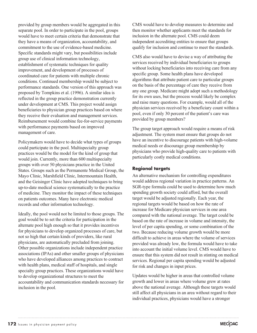provided by group members would be aggregated in this separate pool. In order to participate in the pool, groups would have to meet certain criteria that demonstrate that they have a means of organization, accountability, and commitment to the use of evidence-based medicine. Specific standards might vary, but possibilities include group use of clinical information technology, establishment of systematic techniques for quality improvement, and development of processes of coordinated care for patients with multiple chronic conditions. Continued membership would be subject to performance standards. One version of this approach was proposed by Tompkins et al. (1996). A similar idea is reflected in the group practice demonstration currently under development at CMS. This project would assign beneficiaries to physician group practices based on where they receive their evaluation and management services. Reimbursement would combine fee-for-service payments with performance payments based on improved management of care.

Policymakers would have to decide what types of groups could participate in the pool. Multispecialty group practices would be the model for the kind of group that would join. Currently, more than 600 multispecialty groups with over 50 physicians practice in the United States. Groups such as the Permanente Medical Group, the Mayo Clinic, Marshfield Clinic, Intermountain Health, and the Geisinger Clinic have adopted techniques to bring up-to-date medical science systematically to the practice of medicine. They monitor the impact of these techniques on patients outcomes. Many have electronic medical records and other information technology.

Ideally, the pool would not be limited to those groups. The goal would be to set the criteria for participation in the alternate pool high enough so that it provides incentives for physicians to develop organized processes of care, but not so high that certain kinds of providers, like rural physicians, are automatically precluded from joining. Other possible organizations include independent practice associations (IPAs) and other smaller groups of physicians who have developed alliances among practices to contract with health plans, medical staff of hospitals, and single specialty group practices. These organizations would have to develop organizational structures to meet the accountability and communication standards necessary for inclusion in the pool.

CMS would have to develop measures to determine and then monitor whether applicants meet the standards for inclusion in the alternate pool. CMS could deem independent accrediting entities to ensure that groups qualify for inclusion and continue to meet the standards.

CMS also would have to devise a way of attributing the services received by individual beneficiaries to groups without locking beneficiaries into receiving care from any specific group. Some health plans have developed algorithms that attribute patient care to particular groups on the basis of the percentage of care they receive from any one group. Medicare might adopt such a methodology for its own uses, but the process would likely be complex and raise many questions. For example, would all of the physician services received by a beneficiary count within a pool, even if only 30 percent of the patient's care was provided by group members?

The group target approach would require a means of risk adjustment. The system must ensure that groups do not have an incentive to discourage patients with high-volume medical needs or discourage group membership by physicians who provide high-quality care to patients with particularly costly medical conditions.

### **Regional targets**

An alternative mechanism for controlling expenditures would address regional variation in practice patterns. An SGR-type formula could be used to determine how much spending growth society could afford, but the overall target would be adjusted regionally. Each year, the regional targets would be based on how the rate of increase for Medicare physician services in one area compared with the national average. The target could be based on the rate of increase in volume and intensity, the level of per capita spending, or some combination of the two. Because reducing volume growth would be more difficult to achieve in areas where the volume of services provided was already low, the formula would have to take into account the initial volume level. CMS would have to ensure that this system did not result in stinting on medical services. Regional per capita spending would be adjusted for risk and changes in input prices.

Updates would be higher in areas that controlled volume growth and lower in areas where volume grew at rates above the national average. Although these targets would still affect all physicians in an area without regard to their individual practices, physicians would have a stronger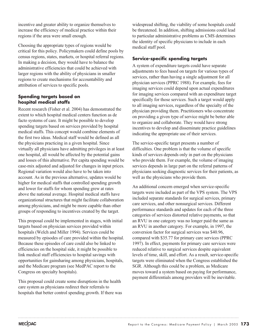incentive and greater ability to organize themselves to increase the efficiency of medical practice within their regions if the area were small enough.

Choosing the appropriate types of regions would be critical for this policy. Policymakers could define pools by census regions, states, markets, or hospital referral regions. In making a decision, they would have to balance the administrative efficiencies that could be achieved with larger regions with the ability of physicians in smaller regions to create mechanisms for accountability and attribution of services to specific pools.

### **Spending targets based on hospital medical staffs**

Recent research (Fisher et al. 2004) has demonstrated the extent to which hospital medical centers function as de facto systems of care. It might be possible to develop spending targets based on services provided by hospital medical staffs. This concept would combine elements of the first two ideas. Medical staff would be defined as all the physicians practicing in a given hospital. Since virtually all physicians have admitting privileges in at least one hospital, all would be affected by the potential gains and losses of this alternative. Per capita spending would be case-mix adjusted and adjusted for changes in input prices. Regional variation would also have to be taken into account. As in the previous alternative, updates would be higher for medical staffs that controlled spending growth and lower for staffs for whom spending grew at rates above the national average. Hospital medical staffs have organizational structures that might facilitate collaboration among physicians, and might be more capable than other groups of responding to incentives created by the target.

This proposal could be implemented in stages, with initial targets based on physician services provided within hospitals (Welch and Miller 1994). Services could be measured by episodes of care provided within the hospital. Because these episodes of care could also be linked to efficiencies on the hospital side, it might be possible to link medical staff efficiencies to hospital savings with opportunities for gainsharing among physicians, hospitals, and the Medicare program (see MedPAC report to the Congress on specialty hospitals).

This proposal could create some disruptions in the health care system as physicians redirect their referrals to hospitals that better control spending growth. If there was

widespread shifting, the viability of some hospitals could be threatened. In addition, shifting admissions could lead to particular administrative problems as CMS determines the identity of specific physicians to include in each medical staff pool.

# **Service-specific spending targets**

A system of expenditure targets could have separate adjustments to fees based on targets for various types of services, rather than having a single adjustment for all physician services (PPRC 1988). For example, fees for imaging services could depend upon actual expenditures for imaging services compared with an expenditure target specifically for those services. Such a target would apply to all imaging services, regardless of the specialty of the physician providing them. Practitioners who concentrate on providing a given type of service might be better able to organize and collaborate. They would have strong incentives to develop and disseminate practice guidelines indicating the appropriate use of their services.

The service-specific target presents a number of difficulties. One problem is that the volume of specific kinds of services depends only in part on the physicians who provide them. For example, the volume of imaging services depends in large part on the referral patterns of physicians seeking diagnostic services for their patients, as well as the physicians who provide them.

An additional concern emerged when service-specific targets were included as part of the VPS system. The VPS included separate standards for surgical services, primary care services, and other nonsurgical services. Different performance standards and updates for each of the three categories of services distorted relative payments, so that an RVU in one category was no longer paid the same as an RVU in another category. For example, in 1997, the conversion factor for surgical services was \$40.96, compared with \$35.77 for primary care services (PPRC 1997). In effect, payments for primary care services were reduced relative to surgical services despite equivalent levels of time, skill, and effort. As a result, service-specific targets were eliminated when the Congress established the SGR. Although this could be a problem, as Medicare moves toward a system based on paying for performance, payment differentials among providers will be inevitable.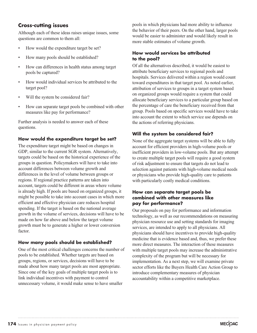# **Cross-cutting issues**

Although each of these ideas raises unique issues, some questions are common to them all:

- How would the expenditure target be set?
- How many pools should be established?
- How can differences in health status among target pools be captured?
- How would individual services be attributed to the target pool?
- Will the system be considered fair?
- How can separate target pools be combined with other measures like pay for performance?

Further analysis is needed to answer each of these questions.

#### **How would the expenditure target be set?**

The expenditure target might be based on changes in GDP, similar to the current SGR system. Alternatively, targets could be based on the historical experience of the groups in question. Policymakers will have to take into account differences between volume growth and differences in the level of volume between groups or regions. If regional practice patterns are taken into account, targets could be different in areas where volume is already high. If pools are based on organized groups, it might be possible to take into account cases in which more efficient and effective physician care reduces hospital spending. If the target is based on the national average growth in the volume of services, decisions will have to be made on how far above and below the target volume growth must be to generate a higher or lower conversion factor.

### **How many pools should be established?**

One of the most critical challenges concerns the number of pools to be established. Whether targets are based on groups, regions, or services, decisions will have to be made about how many target pools are most appropriate. Since one of the key goals of multiple target pools is to link individual incentives with payment to control unnecessary volume, it would make sense to have smaller

pools in which physicians had more ability to influence the behavior of their peers. On the other hand, larger pools would be easier to administer and would likely result in more stable estimates of volume growth.

### **How would services be attributed to the pool?**

Of all the alternatives described, it would be easiest to attribute beneficiary services to regional pools and hospitals. Services delivered within a region would count toward expenditures in that target pool. As noted earlier, attribution of services to groups in a target system based on organized groups would require a system that could allocate beneficiary services to a particular group based on the percentage of care the beneficiary received from that group. Pools based on specific services would have to take into account the extent to which service use depends on the actions of referring physicians.

### **Will the system be considered fair?**

None of the aggregate target systems will be able to fully account for efficient providers in high-volume pools or inefficient providers in low-volume pools. But any attempt to create multiple target pools will require a good system of risk adjustment to ensure that targets do not lead to selection against patients with high-volume medical needs or physicians who provide high-quality care to patients with particularly costly medical conditions.

#### **How can separate target pools be combined with other measures like pay for performance?**

Our proposals on pay for performance and information technology, as well as our recommendations on measuring physician resource use and setting standards for imaging services, are intended to apply to all physicians. All physicians should have incentives to provide high-quality medicine that is evidence based and, thus, we prefer these more direct measures. The interaction of these measures with multiple target pools may increase the administrative complexity of the program but will be necessary for implementation. As a next step, we will examine private sector efforts like the Buyers Health Care Action Group to introduce complementary measures of physician accountability within a competitive marketplace.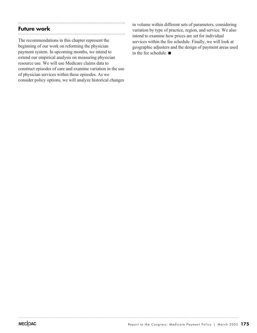# **Future work**

The recommendations in this chapter represent the beginning of our work on reforming the physician payment system. In upcoming months, we intend to extend our empirical analysis on measuring physician resource use. We will use Medicare claims data to construct episodes of care and examine variation in the use of physician services within these episodes. As we consider policy options, we will analyze historical changes

in volume within different sets of parameters, considering variation by type of practice, region, and service. We also intend to examine how prices are set for individual services within the fee schedule. Finally, we will look at geographic adjusters and the design of payment areas used in the fee schedule.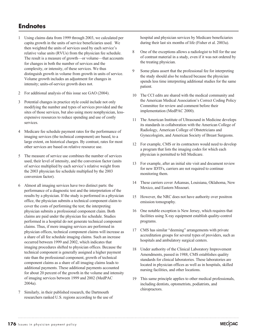# **Endnotes**

- 1 Using claims data from 1999 through 2003, we calculated per capita growth in the units of service beneficiaries used. We then weighted the units of services used by each service's relative value units (RVUs) from the physician fee schedule. The result is a measure of growth—or volume—that accounts for changes in both the number of services and the complexity, or intensity, of these services. We thus distinguish growth in volume from growth in units of service. Volume growth includes an adjustment for changes in intensity; units-of-service growth does not.
- 2 For additional analysis of this issue see GAO (2004).
- 3 Potential changes in practice style could include not only modifying the number and types of services provided and the sites of those services, but also using more nonphysician, lessexpensive resources to reduce spending and use of costly services.
- 4 Medicare fee schedule payment rates for the performance of imaging services (the technical component) are based, to a large extent, on historical charges. By contrast, rates for most other services are based on relative resource use.
- 5 The measure of service use combines the number of services used, their level of intensity, and the conversion factor (units of service multiplied by each service's relative weight from the 2003 physician fee schedule multiplied by the 2003 conversion factor).
- 6 Almost all imaging services have two distinct parts: the performance of a diagnostic test and the interpretation of the results by a physician. If the study is performed in a physician office, the physician submits a technical component claim to cover the costs of performing the test; the interpreting physician submits a professional component claim. Both claims are paid under the physician fee schedule. Studies performed in a hospital do not generate technical component claims. Thus, if more imaging services are performed in physician offices, technical component claims will increase as a share of all fee schedule imaging claims. Such an increase occurred between 1999 and 2002, which indicates that imaging procedures shifted to physician offices. Because the technical component is generally assigned a higher payment rate than the professional component, growth of technical component claims as a share of all imaging claims leads to additional payments. These additional payments accounted for about 20 percent of the growth in the volume and intensity of imaging services between 1999 and 2002 (MedPAC 2004a).
- 7 Similarly, in their published research, the Dartmouth researchers ranked U.S. regions according to the use of

hospital and physician services by Medicare beneficiaries during their last six months of life (Fisher et al. 2003a).

- 8 One of the exceptions allows a radiologist to bill for the use of contrast material in a study, even if it was not ordered by the treating physician.
- 9 Some plans assert that the professional fee for interpreting the study should also be reduced because the physician spends less time interpreting additional studies for the same patient.
- 10 The CCI edits are shared with the medical community and the American Medical Association's Correct Coding Policy Committee for review and comment before their implementation (MedPAC 2000).
- 11 The American Institute of Ultrasound in Medicine develops its standards in collaboration with the American College of Radiology, American College of Obstetricians and Gynecologists, and American Society of Breast Surgeons.
- 12 For example, CMS or its contractors would need to develop a program that lists the imaging codes for which each physician is permitted to bill Medicare.
- 13 For example, after an initial site visit and document review for new IDTFs, carriers are not required to continue monitoring them.
- 14 These carriers cover Arkansas, Louisiana, Oklahoma, New Mexico, and Eastern Missouri.
- 15 However, the NRC does not have authority over positron emission tomography.
- 16 One notable exception is New Jersey, which requires that facilities using X-ray equipment establish quality-control programs.
- 17 CMS has similar "deeming" arrangements with private accreditation groups for several types of providers, such as hospitals and ambulatory surgical centers.
- 18 Under authority of the Clinical Laboratory Improvement Amendments, passed in 1988, CMS establishes quality standards for clinical laboratories. These laboratories are located in physician offices as well as in hospitals, skilled nursing facilities, and other locations.
- 19 This same principle applies to other medical professionals, including dentists, optometrists, podiatrists, and chiropractors.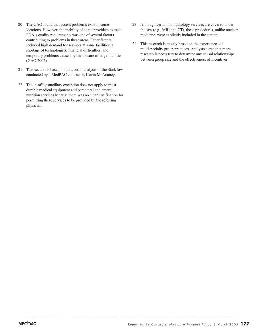- 20 The GAO found that access problems exist in some locations. However, the inability of some providers to meet FDA's quality requirements was one of several factors contributing to problems in these areas. Other factors included high demand for services at some facilities, a shortage of technologists, financial difficulties, and temporary problems caused by the closure of large facilities (GAO 2002).
- 21 This section is based, in part, on an analysis of the Stark law conducted by a MedPAC contractor, Kevin McAnaney.
- 22 The in-office ancillary exception does not apply to most durable medical equipment and parenteral and enteral nutrition services because there was no clear justification for permitting these services to be provided by the referring physician.
- 23 Although certain nonradiology services are covered under the law (e.g., MRI and CT), these procedures, unlike nuclear medicine, were explicitly included in the statute.
- 24 This research is mostly based on the experiences of multispecialty group practices. Analysts agree that more research is necessary to determine any causal relationships between group size and the effectiveness of incentives.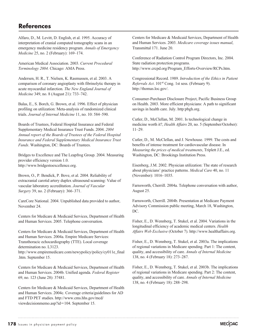# **References**

Alfaro, D., M. Levitt, D. English, et al. 1995. Accuracy of interpretation of cranial computed tomography scans in an emergency medicine residency program. *Annals of Emergency Medicine* 25, no. 2 (February): 169–174.

American Medical Association. 2003. *Current Procedural Terminology 2004.* Chicago: AMA Press.

Andersen, H. R., T. Nielsen, K. Rasmussen, et al. 2003. A comparison of coronary angioplasty with fibrinolytic therapy in acute myocardial infarction. *The New England Journal of Medicine* 349, no. 8 (August 21): 733–742.

Balas, E., S. Borch, G. Brown, et al. 1996. Effect of physician profiling on utilization: Meta-analysis of randomized clinical trials. *Journal of Internal Medicine* 11, no. 10: 584–590.

Boards of Trustees, Federal Hospital Insurance and Federal Supplementary Medical Insurance Trust Funds. 2004. *2004 Annual report of the Boards of Trustees of the Federal Hospital Insurance and Federal Supplementary Medical Insurance Trust Funds*. Washington, DC: Boards of Trustees.

Bridges to Excellence and The Leapfrog Group. 2004. Measuring provider efficiency version 1.0. http://www.bridgestoexcellence.org.

Brown, O., P. Bendick, P. Bove, et al. 2004. Reliability of extracranial carotid artery duplex ultrasound scanning: Value of vascular laboratory accreditation. *Journal of Vascular Surgery* 39, no. 2 (February): 366–371.

CareCore National. 2004. Unpublished data provided to author, November 24.

Centers for Medicare & Medicaid Services, Department of Health and Human Services. 2005. Telephone conversation.

Centers for Medicare & Medicaid Services, Department of Health and Human Services. 2004a. Empire Medicare Services: Transthoracic echocardiography (TTE). Local coverage determination no. L3123. http://www.empiremedicare.com/newypolicy/policy/cy011e\_final .htm. September 15.

Centers for Medicare & Medicaid Services, Department of Health and Human Services. 2004b. Unified agenda. *Federal Register* 69, no. 123 (June 28): 37481.

Centers for Medicare & Medicaid Services, Department of Health and Human Services. 2004c. Coverage criteria/guidelines for AD and FTD PET studies. http://www.cms.hhs.gov/mcd/ viewdecisionmemo.asp?id=104. September 15.

Centers for Medicare & Medicaid Services, Department of Health and Human Services. 2003. *Medicare coverage issues manual*, Transmittal 171. June 20.

Conference of Radiation Control Program Directors, Inc. 2004. State radiation protection programs. http://www.crcpd.org/Program\_Efforts-Overview/RCPs.htm.

Congressional Record. 1989. *Introduction of the Ethics in Patient Referrals Act.* 101<sup>st</sup> Cong. 1st sess. (February 9). http://thomas.loc.gov/.

Consumer-Purchaser Disclosure Project, Pacific Business Group on Health. 2003. More efficient physicians: A path to significant savings in health care. July. http:pbgh.org.

Cutler, D., McClellan, M. 2001. Is technological change in medicine worth it?, *Health Affairs* 20, no. 5 (September/October): 11–29.

Cutler, D., M. McClellan, and J. Newhouse. 1999. The costs and benefits of intense treatment for cardiovascular disease. In *Measuring the prices of medical treatments*, Triplett J.E., ed. Washington, DC: Brookings Institution Press.

Eisenberg, J.M. 2002. Physician utilization: The state of research about physicians' practice patterns. *Medical Care* 40, no. 11 (November): 1016–1035.

Farnsworth, Cherrill. 2004a. Telephone conversation with author, August 25.

Farnsworth, Cherrill. 2004b. Presentation at Medicare Payment Advisory Commission public meeting, March 18, Washington, DC.

Fisher, E., D. Wennberg, T. Stukel, et al. 2004. Variations in the longitudinal efficiency of academic medical centers. *Health Affairs Web Exclusive* (October 7). http://www.healthaffairs.org.

Fisher, E., D. Wennberg, T. Stukel, et al. 2003a. The implications of regional variations in Medicare spending. Part 1: The content, quality, and accessibility of care. *Annals of Internal Medicine* 138, no. 4 (February 18): 273–287.

Fisher, E., D. Wennberg, T. Stukel, et al. 2003b. The implications of regional variations in Medicare spending. Part 2: The content, quality, and accessibility of care. *Annals of Internal Medicine* 138, no. 4 (February 18): 288–298.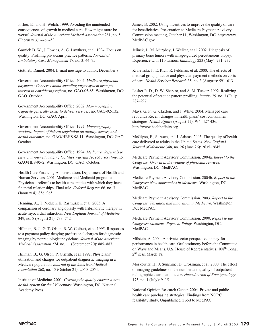Fisher, E., and H. Welch. 1999. Avoiding the unintended consequences of growth in medical care: How might more be worse? *Journal of the American Medical Association* 281, no. 5 (February 3): 446–453.

Garnick D. W., J. Fowles, A. G. Lawthers, et al. 1994. Focus on quality: Profiling physicians practice patterns. *Journal of Ambulatory Care Management* 17, no. 3: 44–75.

Gottlieb, Daniel. 2004. E-mail message to author, December 8.

Government Accountability Office. 2004. *Medicare physician payments: Concerns about spending target system prompts interest in considering reform,* no. GAO-05-85. Washington, DC: GAO. October.

Government Accountability Office. 2002. *Mammography: Capacity generally exists to deliver services*, no. GAO-02-532. Washington, DC: GAO. April.

Government Accountability Office. 1997. *Mammography services: Impact of federal legislation on quality, access, and health outcomes*, no. GAO/HEHS-98-11. Washington, DC: GAO. October.

Government Accountability Office. 1994. *Medicare: Referrals to physician-owned imaging facilities warrant HCFA's scrutiny*, no. GAO/HES-95-2. Washington, DC: GAO. October.

Health Care Financing Administration, Department of Health and Human Services. 2001. Medicare and Medicaid programs: Physicians' referrals to health care entities with which they have financial relationships. Final rule. *Federal Register* 66, no. 3 (January 4): 856–965.

Henning, A., T. Nielsen, K. Rasmussen, et al. 2003. A comparison of coronary angioplasty with fribrinolytic therapy in acute myocardial infarction. *New England Journal of Medicine* 349, no. 8 (August 21): 733–742.

Hillman, B. J., G. T. Olson, R. W. Colbert, et al. 1995. Responses to a payment policy denying professional charges for diagnostic imaging by nonradiologist physicians. *Journal of the American Medical Association* 274, no. 11 (September 20): 885–887.

Hillman, B., G. Olson, P. Griffith, et al. 1992. Physicians' utilization and charges for outpatient diagnostic imaging in a Medicare population. *Journal of the American Medical Association* 268, no. 15 (October 21): 2050–2054.

Institute of Medicine. 2001. *Crossing the quality chasm: A new health system for the 21st century.* Washington, DC: National Academy Press.

James, B. 2002. Using incentives to improve the quality of care for beneficiaries. Presentation to Medicare Payment Advisory Commission meeting, October 11, Washington, DC. http://www. MedPAC.gov.

Jelinek, J., M. Murphey, J. Welker, et al. 2002. Diagnosis of primary bone tumors with image-guided percutaneous biopsy: Experience with 110 tumors. *Radiology* 223 (May): 731–737.

Kralewski, J., E. Rich, R. Feldman, et al. 2000. The effects of medical group practice and physician payment methods on costs of care. *Health Services Research* 35, no. 3 (August): 591–613.

Lasker R. D., D. W. Shapiro, and A. M. Tucker. 1992. Realizing the potential of practice pattern profiling. *Inquiry* 29, no. 3 (Fall): 287–297.

Mays, G. P., G. Claxton, and J. White. 2004. Managed care rebound? Recent changes in health plans' cost containment strategies. *Health Affairs* (August 11): W4- 427-436. http://www.healthaffairs.org.

McGlynn, E., S. Asch, and J. Adams. 2003. The quality of health care delivered to adults in the United States. *New England Journal of Medicine* 348, no. 26 (June 26): 2635–2645.

Medicare Payment Advisory Commission. 2004a. *Report to the Congress: Growth in the volume of physician services*. Washington, DC: MedPAC.

Medicare Payment Advisory Commission. 2004b. *Report to the Congress: New approaches in Medicare*. Washington, DC: MedPAC.

Medicare Payment Advisory Commission. 2003. *Report to the Congress: Variation and innovation in Medicare*. Washington, DC: MedPAC.

Medicare Payment Advisory Commission. 2000. *Report to the Congress: Medicare Payment Policy*. Washington, DC: MedPAC.

Milstein, A. 2004. A private sector perspective on pay-forperformance in health care. Oral testimony before the Committee on Ways and Means, U.S. House of Representatives. 108<sup>th</sup> Cong., 2<sup>nd</sup> sess. March 18.

Moskowitz, H., J. Sunshine, D. Grossman, et al. 2000. The effect of imaging guidelines on the number and quality of outpatient radiographic examinations. *American Journal of Roentgenology* 175, no. 1 (July): 9–15.

National Opinion Research Center. 2004. Private and public health care purchasing strategies: Findings from NORC feasibility study. Unpublished report to MedPAC.